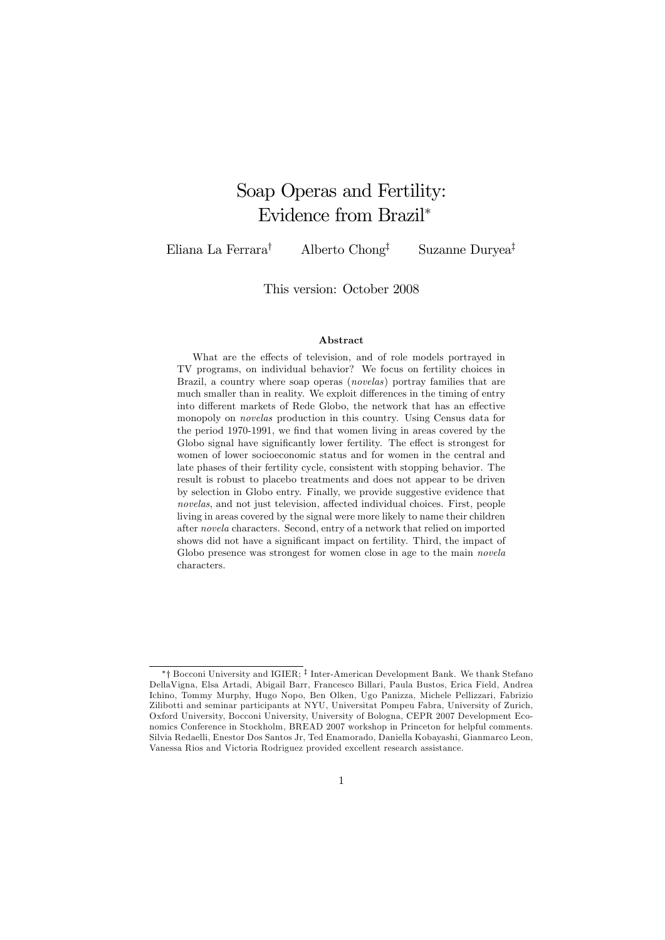# Soap Operas and Fertility: Evidence from Brazil<sup>∗</sup>

Eliana La Ferrara† Alberto Chong‡ Suzanne Duryea‡

This version: October 2008

#### Abstract

What are the effects of television, and of role models portrayed in TV programs, on individual behavior? We focus on fertility choices in Brazil, a country where soap operas (novelas) portray families that are much smaller than in reality. We exploit differences in the timing of entry into different markets of Rede Globo, the network that has an effective monopoly on novelas production in this country. Using Census data for the period 1970-1991, we find that women living in areas covered by the Globo signal have significantly lower fertility. The effect is strongest for women of lower socioeconomic status and for women in the central and late phases of their fertility cycle, consistent with stopping behavior. The result is robust to placebo treatments and does not appear to be driven by selection in Globo entry. Finally, we provide suggestive evidence that novelas, and not just television, affected individual choices. First, people living in areas covered by the signal were more likely to name their children after novela characters. Second, entry of a network that relied on imported shows did not have a significant impact on fertility. Third, the impact of Globo presence was strongest for women close in age to the main *novela* characters.

<sup>∗</sup>† Bocconi University and IGIER; ‡ Inter-American Development Bank. We thank Stefano DellaVigna, Elsa Artadi, Abigail Barr, Francesco Billari, Paula Bustos, Erica Field, Andrea Ichino, Tommy Murphy, Hugo Nopo, Ben Olken, Ugo Panizza, Michele Pellizzari, Fabrizio Zilibotti and seminar participants at NYU, Universitat Pompeu Fabra, University of Zurich, Oxford University, Bocconi University, University of Bologna, CEPR 2007 Development Economics Conference in Stockholm, BREAD 2007 workshop in Princeton for helpful comments. Silvia Redaelli, Enestor Dos Santos Jr, Ted Enamorado, Daniella Kobayashi, Gianmarco Leon, Vanessa Rios and Victoria Rodriguez provided excellent research assistance.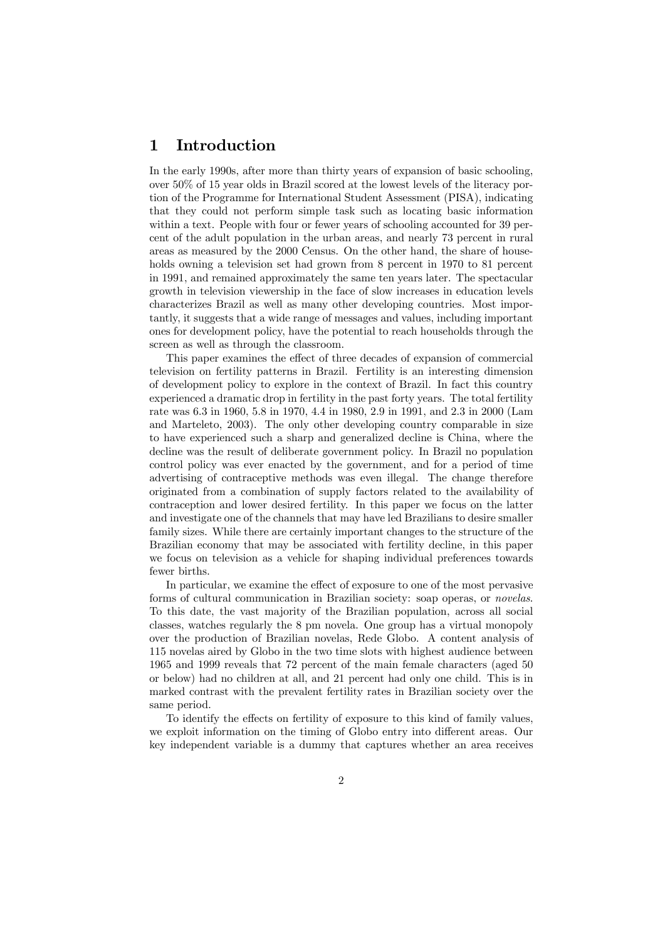## 1 Introduction

In the early 1990s, after more than thirty years of expansion of basic schooling, over 50% of 15 year olds in Brazil scored at the lowest levels of the literacy portion of the Programme for International Student Assessment (PISA), indicating that they could not perform simple task such as locating basic information within a text. People with four or fewer years of schooling accounted for 39 percent of the adult population in the urban areas, and nearly 73 percent in rural areas as measured by the 2000 Census. On the other hand, the share of households owning a television set had grown from 8 percent in 1970 to 81 percent in 1991, and remained approximately the same ten years later. The spectacular growth in television viewership in the face of slow increases in education levels characterizes Brazil as well as many other developing countries. Most importantly, it suggests that a wide range of messages and values, including important ones for development policy, have the potential to reach households through the screen as well as through the classroom.

This paper examines the effect of three decades of expansion of commercial television on fertility patterns in Brazil. Fertility is an interesting dimension of development policy to explore in the context of Brazil. In fact this country experienced a dramatic drop in fertility in the past forty years. The total fertility rate was 6.3 in 1960, 5.8 in 1970, 4.4 in 1980, 2.9 in 1991, and 2.3 in 2000 (Lam and Marteleto, 2003). The only other developing country comparable in size to have experienced such a sharp and generalized decline is China, where the decline was the result of deliberate government policy. In Brazil no population control policy was ever enacted by the government, and for a period of time advertising of contraceptive methods was even illegal. The change therefore originated from a combination of supply factors related to the availability of contraception and lower desired fertility. In this paper we focus on the latter and investigate one of the channels that may have led Brazilians to desire smaller family sizes. While there are certainly important changes to the structure of the Brazilian economy that may be associated with fertility decline, in this paper we focus on television as a vehicle for shaping individual preferences towards fewer births.

In particular, we examine the effect of exposure to one of the most pervasive forms of cultural communication in Brazilian society: soap operas, or novelas. To this date, the vast majority of the Brazilian population, across all social classes, watches regularly the 8 pm novela. One group has a virtual monopoly over the production of Brazilian novelas, Rede Globo. A content analysis of 115 novelas aired by Globo in the two time slots with highest audience between 1965 and 1999 reveals that 72 percent of the main female characters (aged 50 or below) had no children at all, and 21 percent had only one child. This is in marked contrast with the prevalent fertility rates in Brazilian society over the same period.

To identify the effects on fertility of exposure to this kind of family values, we exploit information on the timing of Globo entry into different areas. Our key independent variable is a dummy that captures whether an area receives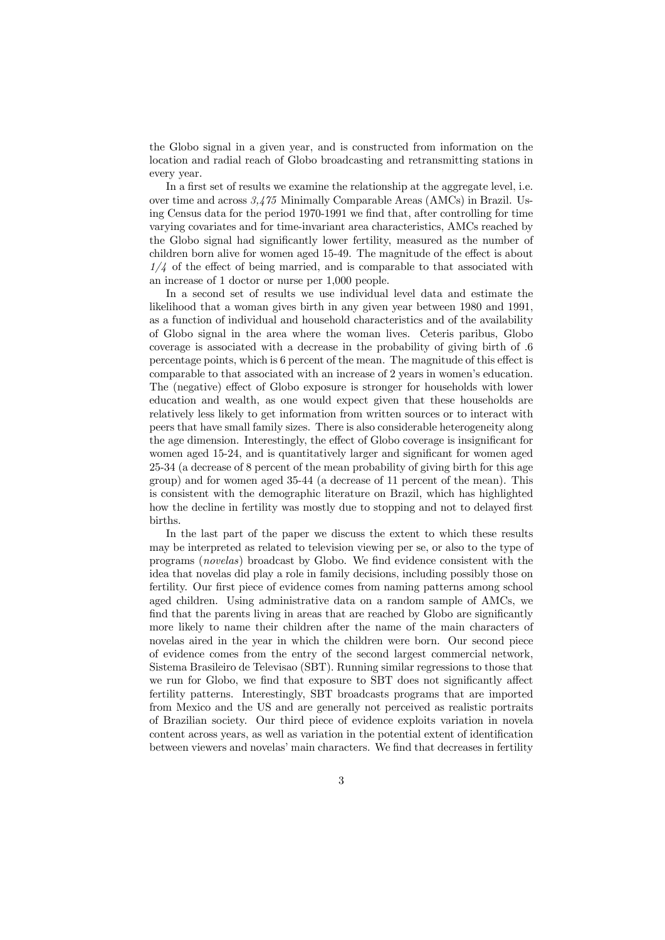the Globo signal in a given year, and is constructed from information on the location and radial reach of Globo broadcasting and retransmitting stations in every year.

In a first set of results we examine the relationship at the aggregate level, i.e. over time and across 3,475 Minimally Comparable Areas (AMCs) in Brazil. Using Census data for the period 1970-1991 we find that, after controlling for time varying covariates and for time-invariant area characteristics, AMCs reached by the Globo signal had significantly lower fertility, measured as the number of children born alive for women aged 15-49. The magnitude of the effect is about  $1/4$  of the effect of being married, and is comparable to that associated with an increase of 1 doctor or nurse per 1,000 people.

In a second set of results we use individual level data and estimate the likelihood that a woman gives birth in any given year between 1980 and 1991, as a function of individual and household characteristics and of the availability of Globo signal in the area where the woman lives. Ceteris paribus, Globo coverage is associated with a decrease in the probability of giving birth of .6 percentage points, which is 6 percent of the mean. The magnitude of this effect is comparable to that associated with an increase of 2 years in women's education. The (negative) effect of Globo exposure is stronger for households with lower education and wealth, as one would expect given that these households are relatively less likely to get information from written sources or to interact with peers that have small family sizes. There is also considerable heterogeneity along the age dimension. Interestingly, the effect of Globo coverage is insignificant for women aged 15-24, and is quantitatively larger and significant for women aged 25-34 (a decrease of 8 percent of the mean probability of giving birth for this age group) and for women aged 35-44 (a decrease of 11 percent of the mean). This is consistent with the demographic literature on Brazil, which has highlighted how the decline in fertility was mostly due to stopping and not to delayed first births.

In the last part of the paper we discuss the extent to which these results may be interpreted as related to television viewing per se, or also to the type of programs (novelas) broadcast by Globo. We find evidence consistent with the idea that novelas did play a role in family decisions, including possibly those on fertility. Our first piece of evidence comes from naming patterns among school aged children. Using administrative data on a random sample of AMCs, we find that the parents living in areas that are reached by Globo are significantly more likely to name their children after the name of the main characters of novelas aired in the year in which the children were born. Our second piece of evidence comes from the entry of the second largest commercial network, Sistema Brasileiro de Televisao (SBT). Running similar regressions to those that we run for Globo, we find that exposure to SBT does not significantly affect fertility patterns. Interestingly, SBT broadcasts programs that are imported from Mexico and the US and are generally not perceived as realistic portraits of Brazilian society. Our third piece of evidence exploits variation in novela content across years, as well as variation in the potential extent of identification between viewers and novelas' main characters. We find that decreases in fertility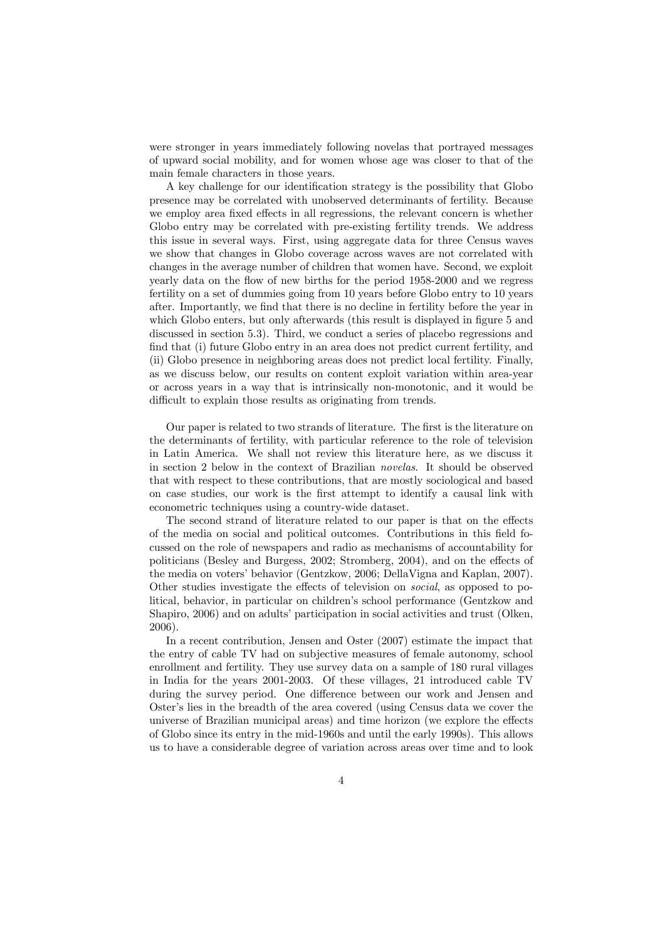were stronger in years immediately following novelas that portrayed messages of upward social mobility, and for women whose age was closer to that of the main female characters in those years.

A key challenge for our identification strategy is the possibility that Globo presence may be correlated with unobserved determinants of fertility. Because we employ area fixed effects in all regressions, the relevant concern is whether Globo entry may be correlated with pre-existing fertility trends. We address this issue in several ways. First, using aggregate data for three Census waves we show that changes in Globo coverage across waves are not correlated with changes in the average number of children that women have. Second, we exploit yearly data on the flow of new births for the period 1958-2000 and we regress fertility on a set of dummies going from 10 years before Globo entry to 10 years after. Importantly, we find that there is no decline in fertility before the year in which Globo enters, but only afterwards (this result is displayed in figure 5 and discussed in section 5.3). Third, we conduct a series of placebo regressions and find that (i) future Globo entry in an area does not predict current fertility, and (ii) Globo presence in neighboring areas does not predict local fertility. Finally, as we discuss below, our results on content exploit variation within area-year or across years in a way that is intrinsically non-monotonic, and it would be difficult to explain those results as originating from trends.

Our paper is related to two strands of literature. The first is the literature on the determinants of fertility, with particular reference to the role of television in Latin America. We shall not review this literature here, as we discuss it in section 2 below in the context of Brazilian novelas. It should be observed that with respect to these contributions, that are mostly sociological and based on case studies, our work is the first attempt to identify a causal link with econometric techniques using a country-wide dataset.

The second strand of literature related to our paper is that on the effects of the media on social and political outcomes. Contributions in this field focussed on the role of newspapers and radio as mechanisms of accountability for politicians (Besley and Burgess, 2002; Stromberg, 2004), and on the effects of the media on voters' behavior (Gentzkow, 2006; DellaVigna and Kaplan, 2007). Other studies investigate the effects of television on social, as opposed to political, behavior, in particular on children's school performance (Gentzkow and Shapiro, 2006) and on adults' participation in social activities and trust (Olken, 2006).

In a recent contribution, Jensen and Oster (2007) estimate the impact that the entry of cable TV had on subjective measures of female autonomy, school enrollment and fertility. They use survey data on a sample of 180 rural villages in India for the years 2001-2003. Of these villages, 21 introduced cable TV during the survey period. One difference between our work and Jensen and Oster's lies in the breadth of the area covered (using Census data we cover the universe of Brazilian municipal areas) and time horizon (we explore the effects of Globo since its entry in the mid-1960s and until the early 1990s). This allows us to have a considerable degree of variation across areas over time and to look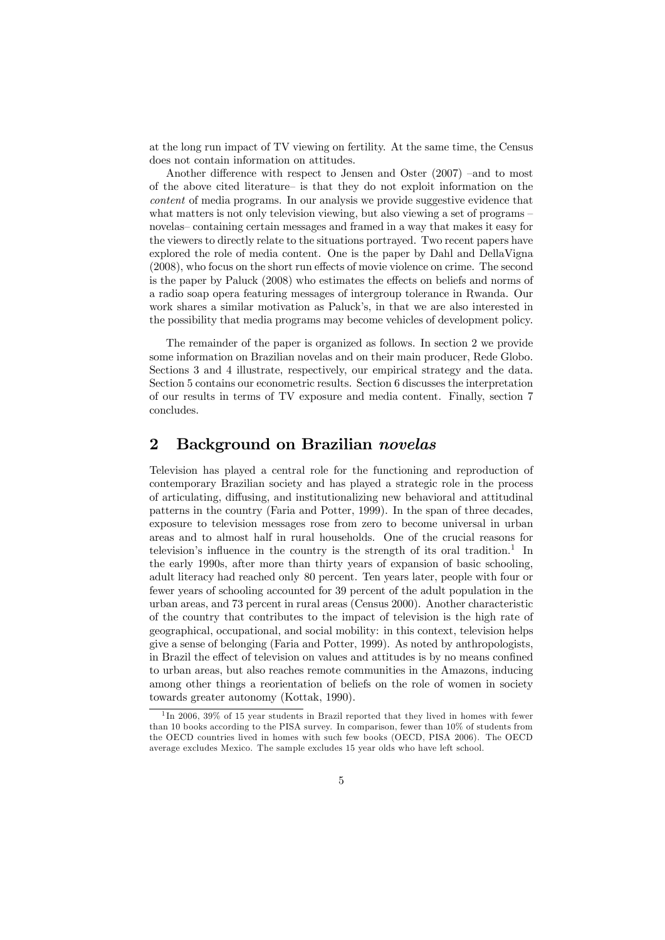at the long run impact of TV viewing on fertility. At the same time, the Census does not contain information on attitudes.

Another difference with respect to Jensen and Oster (2007) —and to most of the above cited literature— is that they do not exploit information on the content of media programs. In our analysis we provide suggestive evidence that what matters is not only television viewing, but also viewing a set of programs  $\overline{\phantom{a}}$ novelas— containing certain messages and framed in a way that makes it easy for the viewers to directly relate to the situations portrayed. Two recent papers have explored the role of media content. One is the paper by Dahl and DellaVigna (2008), who focus on the short run effects of movie violence on crime. The second is the paper by Paluck (2008) who estimates the effects on beliefs and norms of a radio soap opera featuring messages of intergroup tolerance in Rwanda. Our work shares a similar motivation as Paluck's, in that we are also interested in the possibility that media programs may become vehicles of development policy.

The remainder of the paper is organized as follows. In section 2 we provide some information on Brazilian novelas and on their main producer, Rede Globo. Sections 3 and 4 illustrate, respectively, our empirical strategy and the data. Section 5 contains our econometric results. Section 6 discusses the interpretation of our results in terms of TV exposure and media content. Finally, section 7 concludes.

### 2 Background on Brazilian novelas

Television has played a central role for the functioning and reproduction of contemporary Brazilian society and has played a strategic role in the process of articulating, diffusing, and institutionalizing new behavioral and attitudinal patterns in the country (Faria and Potter, 1999). In the span of three decades, exposure to television messages rose from zero to become universal in urban areas and to almost half in rural households. One of the crucial reasons for television's influence in the country is the strength of its oral tradition.<sup>1</sup> In the early 1990s, after more than thirty years of expansion of basic schooling, adult literacy had reached only 80 percent. Ten years later, people with four or fewer years of schooling accounted for 39 percent of the adult population in the urban areas, and 73 percent in rural areas (Census 2000). Another characteristic of the country that contributes to the impact of television is the high rate of geographical, occupational, and social mobility: in this context, television helps give a sense of belonging (Faria and Potter, 1999). As noted by anthropologists, in Brazil the effect of television on values and attitudes is by no means confined to urban areas, but also reaches remote communities in the Amazons, inducing among other things a reorientation of beliefs on the role of women in society towards greater autonomy (Kottak, 1990).

 $1$ In 2006, 39% of 15 year students in Brazil reported that they lived in homes with fewer than 10 books according to the PISA survey. In comparison, fewer than 10% of students from the OECD countries lived in homes with such few books (OECD, PISA 2006). The OECD average excludes Mexico. The sample excludes 15 year olds who have left school.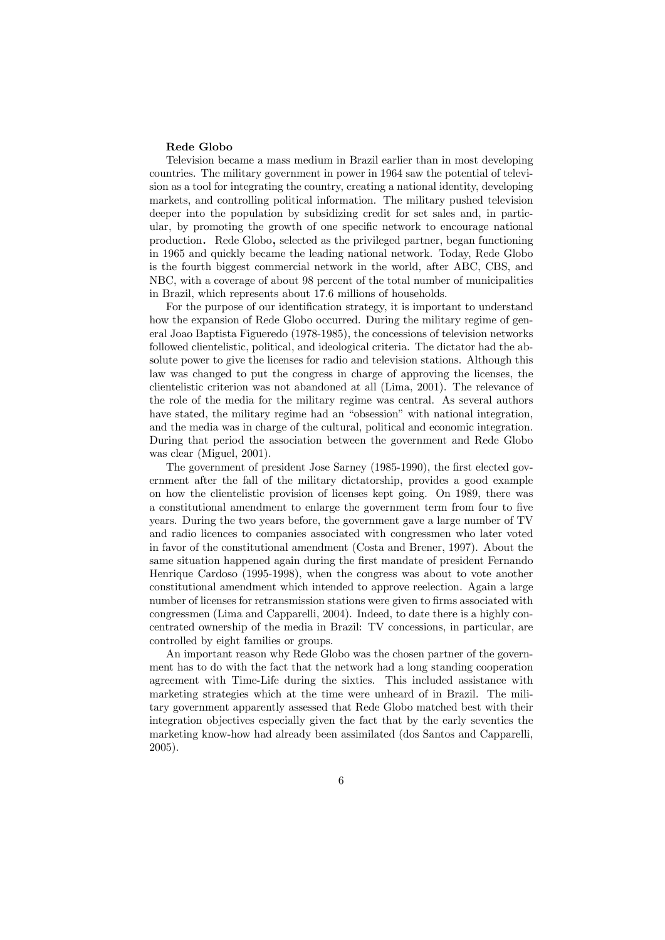#### Rede Globo

Television became a mass medium in Brazil earlier than in most developing countries. The military government in power in 1964 saw the potential of television as a tool for integrating the country, creating a national identity, developing markets, and controlling political information. The military pushed television deeper into the population by subsidizing credit for set sales and, in particular, by promoting the growth of one specific network to encourage national production. Rede Globo, selected as the privileged partner, began functioning in 1965 and quickly became the leading national network. Today, Rede Globo is the fourth biggest commercial network in the world, after ABC, CBS, and NBC, with a coverage of about 98 percent of the total number of municipalities in Brazil, which represents about 17.6 millions of households.

For the purpose of our identification strategy, it is important to understand how the expansion of Rede Globo occurred. During the military regime of general Joao Baptista Figueredo (1978-1985), the concessions of television networks followed clientelistic, political, and ideological criteria. The dictator had the absolute power to give the licenses for radio and television stations. Although this law was changed to put the congress in charge of approving the licenses, the clientelistic criterion was not abandoned at all (Lima, 2001). The relevance of the role of the media for the military regime was central. As several authors have stated, the military regime had an "obsession" with national integration, and the media was in charge of the cultural, political and economic integration. During that period the association between the government and Rede Globo was clear (Miguel, 2001).

The government of president Jose Sarney (1985-1990), the first elected government after the fall of the military dictatorship, provides a good example on how the clientelistic provision of licenses kept going. On 1989, there was a constitutional amendment to enlarge the government term from four to five years. During the two years before, the government gave a large number of TV and radio licences to companies associated with congressmen who later voted in favor of the constitutional amendment (Costa and Brener, 1997). About the same situation happened again during the first mandate of president Fernando Henrique Cardoso (1995-1998), when the congress was about to vote another constitutional amendment which intended to approve reelection. Again a large number of licenses for retransmission stations were given to firms associated with congressmen (Lima and Capparelli, 2004). Indeed, to date there is a highly concentrated ownership of the media in Brazil: TV concessions, in particular, are controlled by eight families or groups.

An important reason why Rede Globo was the chosen partner of the government has to do with the fact that the network had a long standing cooperation agreement with Time-Life during the sixties. This included assistance with marketing strategies which at the time were unheard of in Brazil. The military government apparently assessed that Rede Globo matched best with their integration objectives especially given the fact that by the early seventies the marketing know-how had already been assimilated (dos Santos and Capparelli, 2005).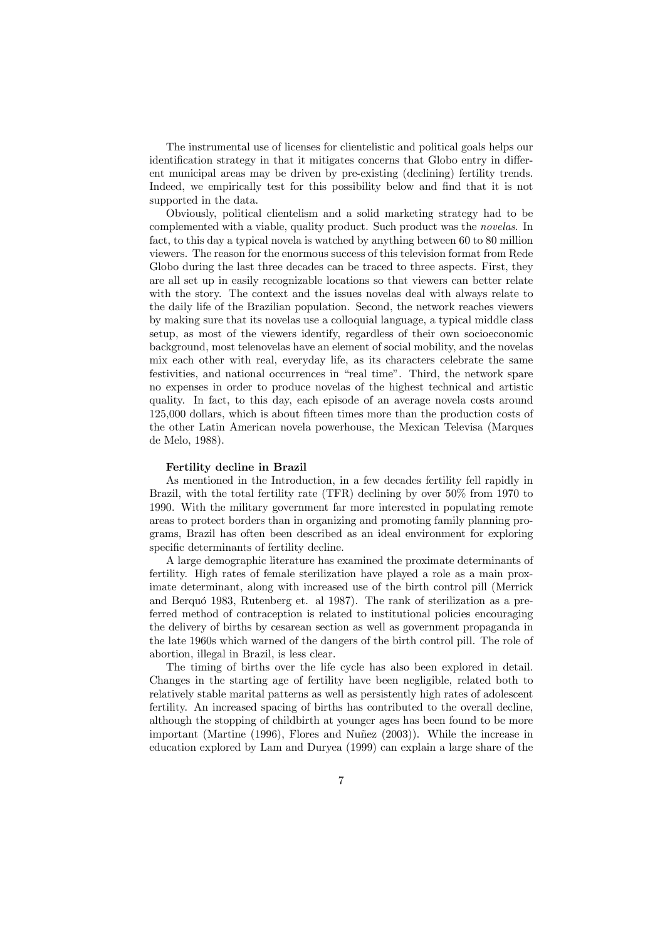The instrumental use of licenses for clientelistic and political goals helps our identification strategy in that it mitigates concerns that Globo entry in different municipal areas may be driven by pre-existing (declining) fertility trends. Indeed, we empirically test for this possibility below and find that it is not supported in the data.

Obviously, political clientelism and a solid marketing strategy had to be complemented with a viable, quality product. Such product was the novelas. In fact, to this day a typical novela is watched by anything between 60 to 80 million viewers. The reason for the enormous success of this television format from Rede Globo during the last three decades can be traced to three aspects. First, they are all set up in easily recognizable locations so that viewers can better relate with the story. The context and the issues novelas deal with always relate to the daily life of the Brazilian population. Second, the network reaches viewers by making sure that its novelas use a colloquial language, a typical middle class setup, as most of the viewers identify, regardless of their own socioeconomic background, most telenovelas have an element of social mobility, and the novelas mix each other with real, everyday life, as its characters celebrate the same festivities, and national occurrences in "real time". Third, the network spare no expenses in order to produce novelas of the highest technical and artistic quality. In fact, to this day, each episode of an average novela costs around 125,000 dollars, which is about fifteen times more than the production costs of the other Latin American novela powerhouse, the Mexican Televisa (Marques de Melo, 1988).

#### Fertility decline in Brazil

As mentioned in the Introduction, in a few decades fertility fell rapidly in Brazil, with the total fertility rate (TFR) declining by over 50% from 1970 to 1990. With the military government far more interested in populating remote areas to protect borders than in organizing and promoting family planning programs, Brazil has often been described as an ideal environment for exploring specific determinants of fertility decline.

A large demographic literature has examined the proximate determinants of fertility. High rates of female sterilization have played a role as a main proximate determinant, along with increased use of the birth control pill (Merrick and Berquó 1983, Rutenberg et. al 1987). The rank of sterilization as a preferred method of contraception is related to institutional policies encouraging the delivery of births by cesarean section as well as government propaganda in the late 1960s which warned of the dangers of the birth control pill. The role of abortion, illegal in Brazil, is less clear.

The timing of births over the life cycle has also been explored in detail. Changes in the starting age of fertility have been negligible, related both to relatively stable marital patterns as well as persistently high rates of adolescent fertility. An increased spacing of births has contributed to the overall decline, although the stopping of childbirth at younger ages has been found to be more important (Martine (1996), Flores and Nuñez (2003)). While the increase in education explored by Lam and Duryea (1999) can explain a large share of the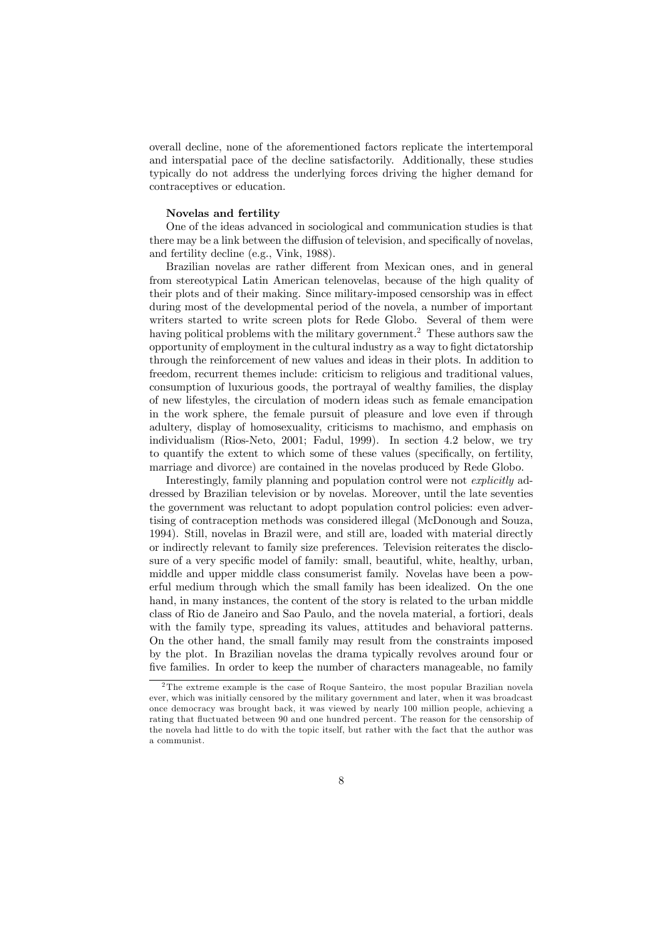overall decline, none of the aforementioned factors replicate the intertemporal and interspatial pace of the decline satisfactorily. Additionally, these studies typically do not address the underlying forces driving the higher demand for contraceptives or education.

#### Novelas and fertility

One of the ideas advanced in sociological and communication studies is that there may be a link between the diffusion of television, and specifically of novelas, and fertility decline (e.g., Vink, 1988).

Brazilian novelas are rather different from Mexican ones, and in general from stereotypical Latin American telenovelas, because of the high quality of their plots and of their making. Since military-imposed censorship was in effect during most of the developmental period of the novela, a number of important writers started to write screen plots for Rede Globo. Several of them were having political problems with the military government.<sup>2</sup> These authors saw the opportunity of employment in the cultural industry as a way to fight dictatorship through the reinforcement of new values and ideas in their plots. In addition to freedom, recurrent themes include: criticism to religious and traditional values, consumption of luxurious goods, the portrayal of wealthy families, the display of new lifestyles, the circulation of modern ideas such as female emancipation in the work sphere, the female pursuit of pleasure and love even if through adultery, display of homosexuality, criticisms to machismo, and emphasis on individualism (Rios-Neto, 2001; Fadul, 1999). In section 4.2 below, we try to quantify the extent to which some of these values (specifically, on fertility, marriage and divorce) are contained in the novelas produced by Rede Globo.

Interestingly, family planning and population control were not explicitly addressed by Brazilian television or by novelas. Moreover, until the late seventies the government was reluctant to adopt population control policies: even advertising of contraception methods was considered illegal (McDonough and Souza, 1994). Still, novelas in Brazil were, and still are, loaded with material directly or indirectly relevant to family size preferences. Television reiterates the disclosure of a very specific model of family: small, beautiful, white, healthy, urban, middle and upper middle class consumerist family. Novelas have been a powerful medium through which the small family has been idealized. On the one hand, in many instances, the content of the story is related to the urban middle class of Rio de Janeiro and Sao Paulo, and the novela material, a fortiori, deals with the family type, spreading its values, attitudes and behavioral patterns. On the other hand, the small family may result from the constraints imposed by the plot. In Brazilian novelas the drama typically revolves around four or five families. In order to keep the number of characters manageable, no family

<sup>2</sup>The extreme example is the case of Roque Santeiro, the most popular Brazilian novela ever, which was initially censored by the military government and later, when it was broadcast once democracy was brought back, it was viewed by nearly 100 million people, achieving a rating that fluctuated between 90 and one hundred percent. The reason for the censorship of the novela had little to do with the topic itself, but rather with the fact that the author was a communist.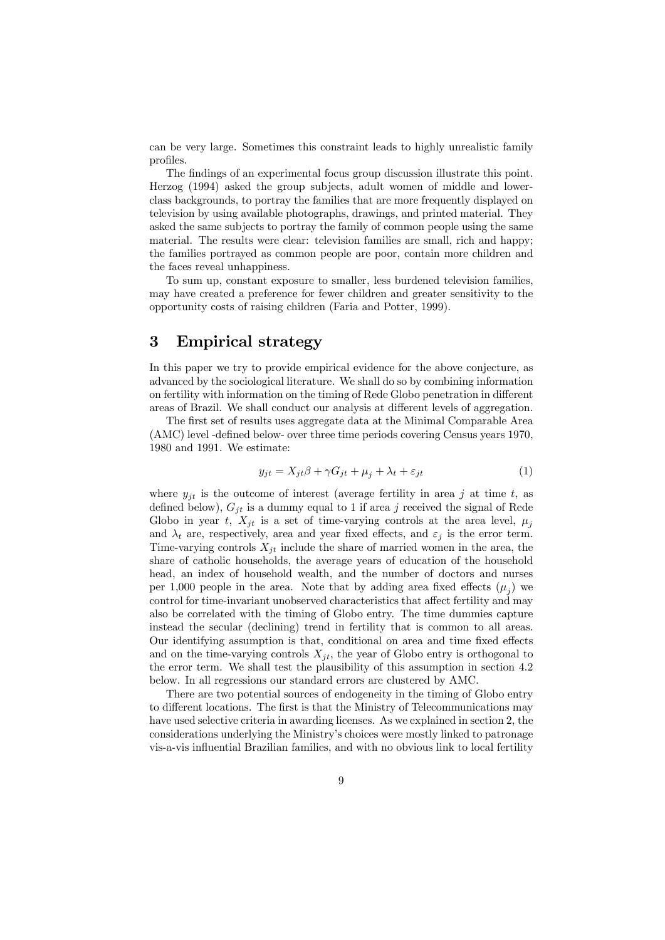can be very large. Sometimes this constraint leads to highly unrealistic family profiles.

The findings of an experimental focus group discussion illustrate this point. Herzog (1994) asked the group subjects, adult women of middle and lowerclass backgrounds, to portray the families that are more frequently displayed on television by using available photographs, drawings, and printed material. They asked the same subjects to portray the family of common people using the same material. The results were clear: television families are small, rich and happy; the families portrayed as common people are poor, contain more children and the faces reveal unhappiness.

To sum up, constant exposure to smaller, less burdened television families, may have created a preference for fewer children and greater sensitivity to the opportunity costs of raising children (Faria and Potter, 1999).

## 3 Empirical strategy

In this paper we try to provide empirical evidence for the above conjecture, as advanced by the sociological literature. We shall do so by combining information on fertility with information on the timing of Rede Globo penetration in different areas of Brazil. We shall conduct our analysis at different levels of aggregation.

The first set of results uses aggregate data at the Minimal Comparable Area (AMC) level -defined below- over three time periods covering Census years 1970, 1980 and 1991. We estimate:

$$
y_{jt} = X_{jt}\beta + \gamma G_{jt} + \mu_j + \lambda_t + \varepsilon_{jt}
$$
\n<sup>(1)</sup>

where  $y_{it}$  is the outcome of interest (average fertility in area j at time t, as defined below),  $G_{it}$  is a dummy equal to 1 if area j received the signal of Rede Globo in year t,  $X_{it}$  is a set of time-varying controls at the area level,  $\mu_i$ and  $\lambda_t$  are, respectively, area and year fixed effects, and  $\varepsilon_j$  is the error term. Time-varying controls  $X_{it}$  include the share of married women in the area, the share of catholic households, the average years of education of the household head, an index of household wealth, and the number of doctors and nurses per 1,000 people in the area. Note that by adding area fixed effects  $(\mu_i)$  we control for time-invariant unobserved characteristics that affect fertility and may also be correlated with the timing of Globo entry. The time dummies capture instead the secular (declining) trend in fertility that is common to all areas. Our identifying assumption is that, conditional on area and time fixed effects and on the time-varying controls  $X_{it}$ , the year of Globo entry is orthogonal to the error term. We shall test the plausibility of this assumption in section 4.2 below. In all regressions our standard errors are clustered by AMC.

There are two potential sources of endogeneity in the timing of Globo entry to different locations. The first is that the Ministry of Telecommunications may have used selective criteria in awarding licenses. As we explained in section 2, the considerations underlying the Ministry's choices were mostly linked to patronage vis-a-vis influential Brazilian families, and with no obvious link to local fertility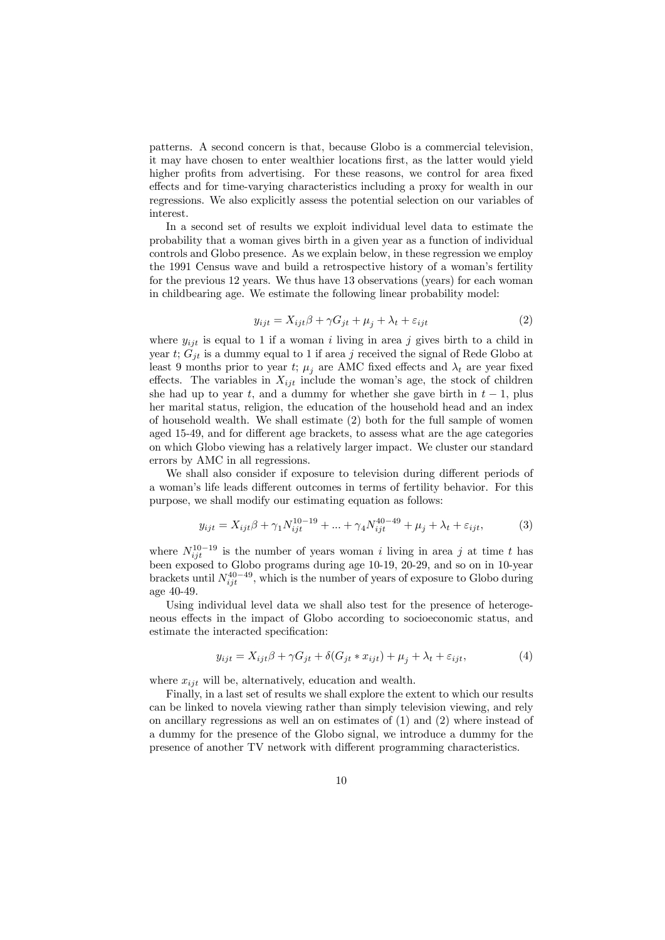patterns. A second concern is that, because Globo is a commercial television, it may have chosen to enter wealthier locations first, as the latter would yield higher profits from advertising. For these reasons, we control for area fixed effects and for time-varying characteristics including a proxy for wealth in our regressions. We also explicitly assess the potential selection on our variables of interest.

In a second set of results we exploit individual level data to estimate the probability that a woman gives birth in a given year as a function of individual controls and Globo presence. As we explain below, in these regression we employ the 1991 Census wave and build a retrospective history of a woman's fertility for the previous 12 years. We thus have 13 observations (years) for each woman in childbearing age. We estimate the following linear probability model:

$$
y_{ijt} = X_{ijt}\beta + \gamma G_{jt} + \mu_j + \lambda_t + \varepsilon_{ijt}
$$
\n<sup>(2)</sup>

where  $y_{ijt}$  is equal to 1 if a woman i living in area j gives birth to a child in year t;  $G_{jt}$  is a dummy equal to 1 if area j received the signal of Rede Globo at least 9 months prior to year t;  $\mu_i$  are AMC fixed effects and  $\lambda_t$  are year fixed effects. The variables in  $X_{ijt}$  include the woman's age, the stock of children she had up to year t, and a dummy for whether she gave birth in  $t-1$ , plus her marital status, religion, the education of the household head and an index of household wealth. We shall estimate (2) both for the full sample of women aged 15-49, and for different age brackets, to assess what are the age categories on which Globo viewing has a relatively larger impact. We cluster our standard errors by AMC in all regressions.

We shall also consider if exposure to television during different periods of a woman's life leads different outcomes in terms of fertility behavior. For this purpose, we shall modify our estimating equation as follows:

$$
y_{ijt} = X_{ijt}\beta + \gamma_1 N_{ijt}^{10-19} + \dots + \gamma_4 N_{ijt}^{40-49} + \mu_j + \lambda_t + \varepsilon_{ijt},
$$
 (3)

where  $N_{ijt}^{10-19}$  is the number of years woman i living in area j at time t has been exposed to Globo programs during age 10-19, 20-29, and so on in 10-year brackets until  $N_{ijt}^{40-49}$ , which is the number of years of exposure to Globo during age 40-49.

Using individual level data we shall also test for the presence of heterogeneous effects in the impact of Globo according to socioeconomic status, and estimate the interacted specification:

$$
y_{ijt} = X_{ijt}\beta + \gamma G_{jt} + \delta(G_{jt} * x_{ijt}) + \mu_j + \lambda_t + \varepsilon_{ijt},\tag{4}
$$

where  $x_{ijt}$  will be, alternatively, education and wealth.

Finally, in a last set of results we shall explore the extent to which our results can be linked to novela viewing rather than simply television viewing, and rely on ancillary regressions as well an on estimates of (1) and (2) where instead of a dummy for the presence of the Globo signal, we introduce a dummy for the presence of another TV network with different programming characteristics.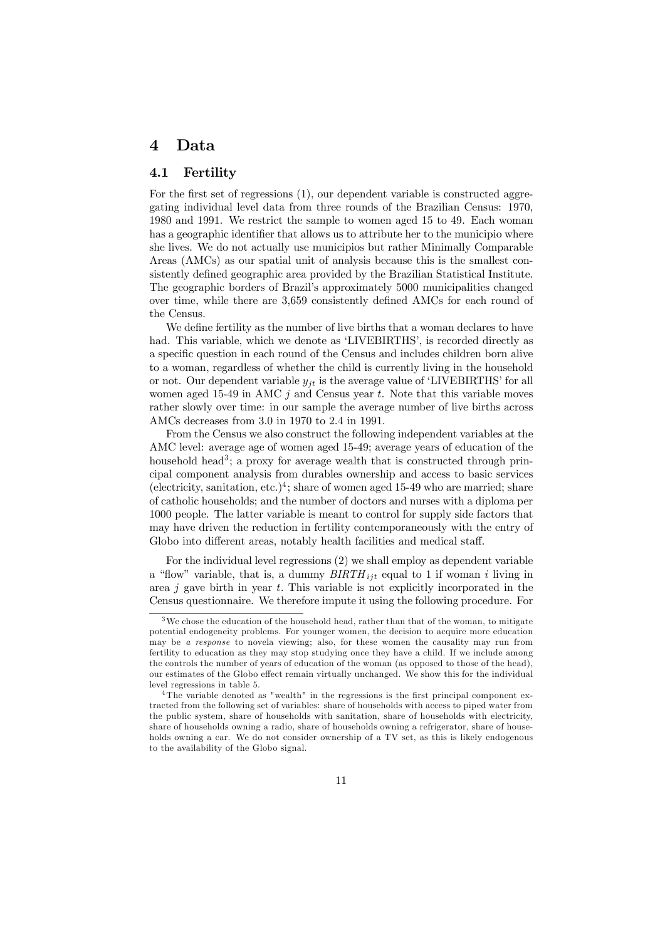## 4 Data

#### 4.1 Fertility

For the first set of regressions (1), our dependent variable is constructed aggregating individual level data from three rounds of the Brazilian Census: 1970, 1980 and 1991. We restrict the sample to women aged 15 to 49. Each woman has a geographic identifier that allows us to attribute her to the municipio where she lives. We do not actually use municipios but rather Minimally Comparable Areas (AMCs) as our spatial unit of analysis because this is the smallest consistently defined geographic area provided by the Brazilian Statistical Institute. The geographic borders of Brazil's approximately 5000 municipalities changed over time, while there are 3,659 consistently defined AMCs for each round of the Census.

We define fertility as the number of live births that a woman declares to have had. This variable, which we denote as 'LIVEBIRTHS', is recorded directly as a specific question in each round of the Census and includes children born alive to a woman, regardless of whether the child is currently living in the household or not. Our dependent variable  $y_{it}$  is the average value of 'LIVEBIRTHS' for all women aged 15-49 in AMC  $j$  and Census year t. Note that this variable moves rather slowly over time: in our sample the average number of live births across AMCs decreases from 3.0 in 1970 to 2.4 in 1991.

From the Census we also construct the following independent variables at the AMC level: average age of women aged 15-49; average years of education of the household head<sup>3</sup>; a proxy for average wealth that is constructed through principal component analysis from durables ownership and access to basic services (electricity, sanitation, etc.)<sup>4</sup>; share of women aged 15-49 who are married; share of catholic households; and the number of doctors and nurses with a diploma per 1000 people. The latter variable is meant to control for supply side factors that may have driven the reduction in fertility contemporaneously with the entry of Globo into different areas, notably health facilities and medical staff.

For the individual level regressions (2) we shall employ as dependent variable a "flow" variable, that is, a dummy  $BIRTH_{ijt}$  equal to 1 if woman i living in area  $j$  gave birth in year  $t$ . This variable is not explicitly incorporated in the Census questionnaire. We therefore impute it using the following procedure. For

We chose the education of the household head, rather than that of the woman, to mitigate potential endogeneity problems. For younger women, the decision to acquire more education may be a response to novela viewing; also, for these women the causality may run from fertility to education as they may stop studying once they have a child. If we include among the controls the number of years of education of the woman (as opposed to those of the head), our estimates of the Globo effect remain virtually unchanged. We show this for the individual level regressions in table 5.

<sup>&</sup>lt;sup>4</sup>The variable denoted as "wealth" in the regressions is the first principal component extracted from the following set of variables: share of households with access to piped water from the public system, share of households with sanitation, share of households with electricity, share of households owning a radio, share of households owning a refrigerator, share of households owning a car. We do not consider ownership of a TV set, as this is likely endogenous to the availability of the Globo signal.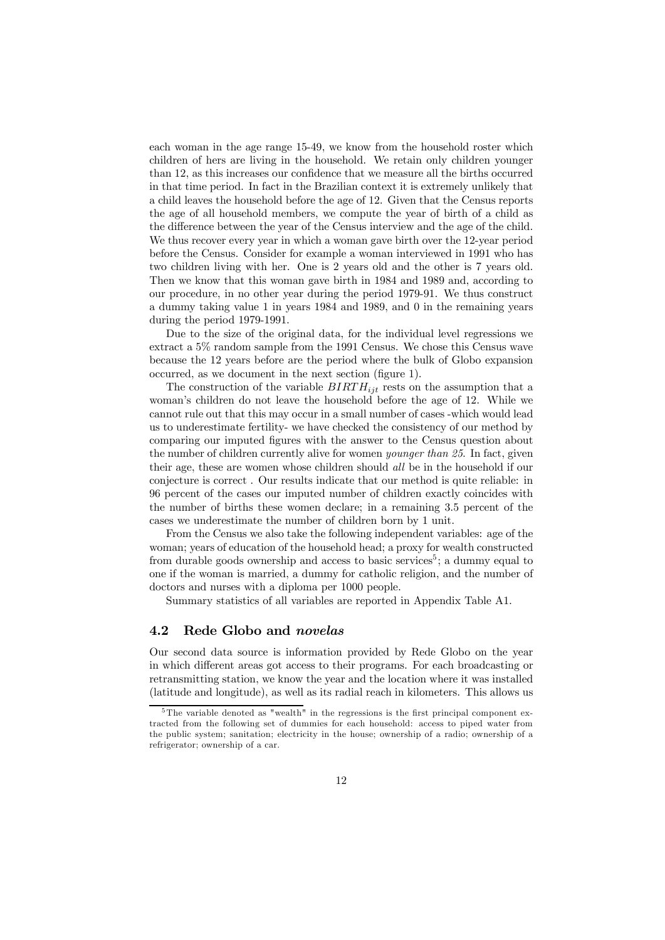each woman in the age range 15-49, we know from the household roster which children of hers are living in the household. We retain only children younger than 12, as this increases our confidence that we measure all the births occurred in that time period. In fact in the Brazilian context it is extremely unlikely that a child leaves the household before the age of 12. Given that the Census reports the age of all household members, we compute the year of birth of a child as the difference between the year of the Census interview and the age of the child. We thus recover every year in which a woman gave birth over the 12-year period before the Census. Consider for example a woman interviewed in 1991 who has two children living with her. One is 2 years old and the other is 7 years old. Then we know that this woman gave birth in 1984 and 1989 and, according to our procedure, in no other year during the period 1979-91. We thus construct a dummy taking value 1 in years 1984 and 1989, and 0 in the remaining years during the period 1979-1991.

Due to the size of the original data, for the individual level regressions we extract a 5% random sample from the 1991 Census. We chose this Census wave because the 12 years before are the period where the bulk of Globo expansion occurred, as we document in the next section (figure 1).

The construction of the variable  $BIRTH_{iit}$  rests on the assumption that a woman's children do not leave the household before the age of 12. While we cannot rule out that this may occur in a small number of cases -which would lead us to underestimate fertility- we have checked the consistency of our method by comparing our imputed figures with the answer to the Census question about the number of children currently alive for women younger than 25. In fact, given their age, these are women whose children should all be in the household if our conjecture is correct . Our results indicate that our method is quite reliable: in 96 percent of the cases our imputed number of children exactly coincides with the number of births these women declare; in a remaining 3.5 percent of the cases we underestimate the number of children born by 1 unit.

From the Census we also take the following independent variables: age of the woman; years of education of the household head; a proxy for wealth constructed from durable goods ownership and access to basic services<sup>5</sup>; a dummy equal to one if the woman is married, a dummy for catholic religion, and the number of doctors and nurses with a diploma per 1000 people.

Summary statistics of all variables are reported in Appendix Table A1.

#### 4.2 Rede Globo and novelas

Our second data source is information provided by Rede Globo on the year in which different areas got access to their programs. For each broadcasting or retransmitting station, we know the year and the location where it was installed (latitude and longitude), as well as its radial reach in kilometers. This allows us

<sup>5</sup>The variable denoted as "wealth" in the regressions is the first principal component extracted from the following set of dummies for each household: access to piped water from the public system; sanitation; electricity in the house; ownership of a radio; ownership of a refrigerator; ownership of a car.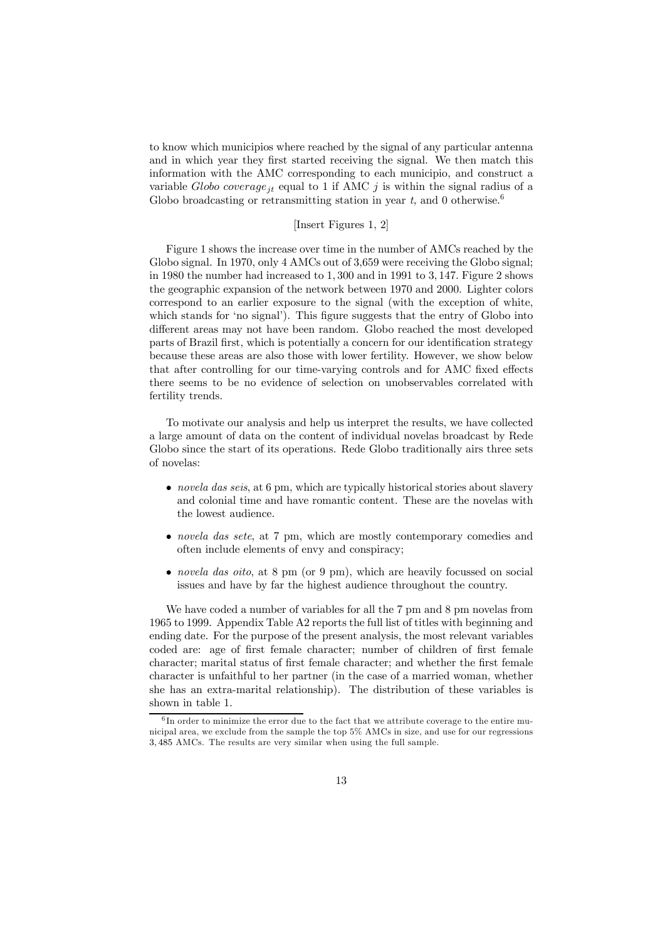to know which municipios where reached by the signal of any particular antenna and in which year they first started receiving the signal. We then match this information with the AMC corresponding to each municipio, and construct a variable Globo coverage<sub>it</sub> equal to 1 if AMC j is within the signal radius of a Globo broadcasting or retransmitting station in year t, and 0 otherwise.<sup>6</sup>

#### [Insert Figures 1, 2]

Figure 1 shows the increase over time in the number of AMCs reached by the Globo signal. In 1970, only 4 AMCs out of 3,659 were receiving the Globo signal; in 1980 the number had increased to 1, 300 and in 1991 to 3, 147. Figure 2 shows the geographic expansion of the network between 1970 and 2000. Lighter colors correspond to an earlier exposure to the signal (with the exception of white, which stands for 'no signal'). This figure suggests that the entry of Globo into different areas may not have been random. Globo reached the most developed parts of Brazil first, which is potentially a concern for our identification strategy because these areas are also those with lower fertility. However, we show below that after controlling for our time-varying controls and for AMC fixed effects there seems to be no evidence of selection on unobservables correlated with fertility trends.

To motivate our analysis and help us interpret the results, we have collected a large amount of data on the content of individual novelas broadcast by Rede Globo since the start of its operations. Rede Globo traditionally airs three sets of novelas:

- novela das seis, at 6 pm, which are typically historical stories about slavery and colonial time and have romantic content. These are the novelas with the lowest audience.
- novela das sete, at 7 pm, which are mostly contemporary comedies and often include elements of envy and conspiracy;
- *novela das oito*, at 8 pm (or 9 pm), which are heavily focussed on social issues and have by far the highest audience throughout the country.

We have coded a number of variables for all the 7 pm and 8 pm novelas from 1965 to 1999. Appendix Table A2 reports the full list of titles with beginning and ending date. For the purpose of the present analysis, the most relevant variables coded are: age of first female character; number of children of first female character; marital status of first female character; and whether the first female character is unfaithful to her partner (in the case of a married woman, whether she has an extra-marital relationship). The distribution of these variables is shown in table 1.

 $6$ In order to minimize the error due to the fact that we attribute coverage to the entire municipal area, we exclude from the sample the top 5% AMCs in size, and use for our regressions 3, 485 AMCs. The results are very similar when using the full sample.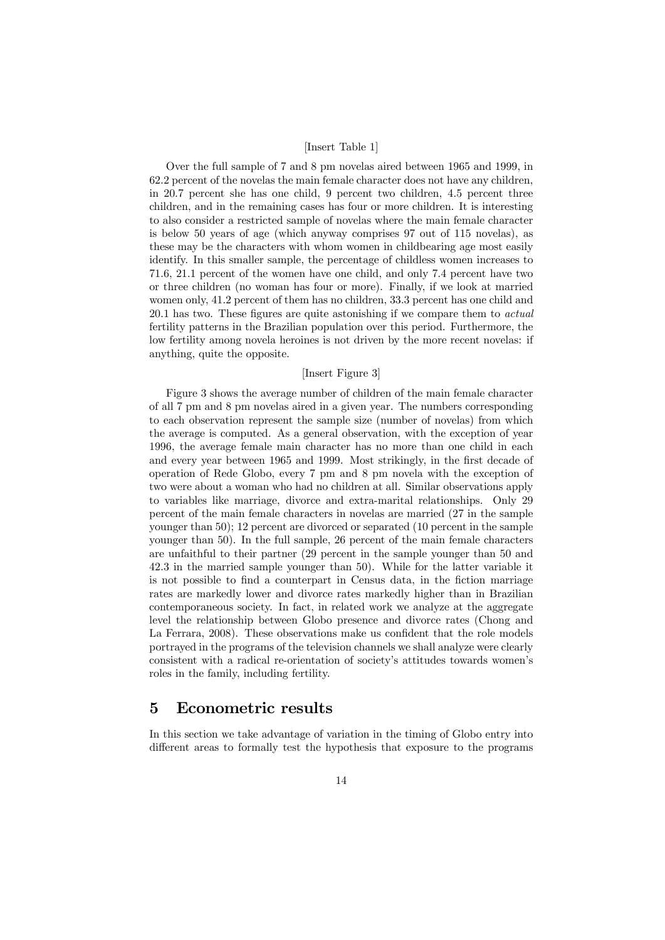#### [Insert Table 1]

Over the full sample of 7 and 8 pm novelas aired between 1965 and 1999, in 62.2 percent of the novelas the main female character does not have any children, in 20.7 percent she has one child, 9 percent two children, 4.5 percent three children, and in the remaining cases has four or more children. It is interesting to also consider a restricted sample of novelas where the main female character is below 50 years of age (which anyway comprises 97 out of 115 novelas), as these may be the characters with whom women in childbearing age most easily identify. In this smaller sample, the percentage of childless women increases to 71.6, 21.1 percent of the women have one child, and only 7.4 percent have two or three children (no woman has four or more). Finally, if we look at married women only, 41.2 percent of them has no children, 33.3 percent has one child and 20.1 has two. These figures are quite astonishing if we compare them to actual fertility patterns in the Brazilian population over this period. Furthermore, the low fertility among novela heroines is not driven by the more recent novelas: if anything, quite the opposite.

#### [Insert Figure 3]

Figure 3 shows the average number of children of the main female character of all 7 pm and 8 pm novelas aired in a given year. The numbers corresponding to each observation represent the sample size (number of novelas) from which the average is computed. As a general observation, with the exception of year 1996, the average female main character has no more than one child in each and every year between 1965 and 1999. Most strikingly, in the first decade of operation of Rede Globo, every 7 pm and 8 pm novela with the exception of two were about a woman who had no children at all. Similar observations apply to variables like marriage, divorce and extra-marital relationships. Only 29 percent of the main female characters in novelas are married (27 in the sample younger than 50); 12 percent are divorced or separated (10 percent in the sample younger than 50). In the full sample, 26 percent of the main female characters are unfaithful to their partner (29 percent in the sample younger than 50 and 42.3 in the married sample younger than 50). While for the latter variable it is not possible to find a counterpart in Census data, in the fiction marriage rates are markedly lower and divorce rates markedly higher than in Brazilian contemporaneous society. In fact, in related work we analyze at the aggregate level the relationship between Globo presence and divorce rates (Chong and La Ferrara, 2008). These observations make us confident that the role models portrayed in the programs of the television channels we shall analyze were clearly consistent with a radical re-orientation of society's attitudes towards women's roles in the family, including fertility.

## 5 Econometric results

In this section we take advantage of variation in the timing of Globo entry into different areas to formally test the hypothesis that exposure to the programs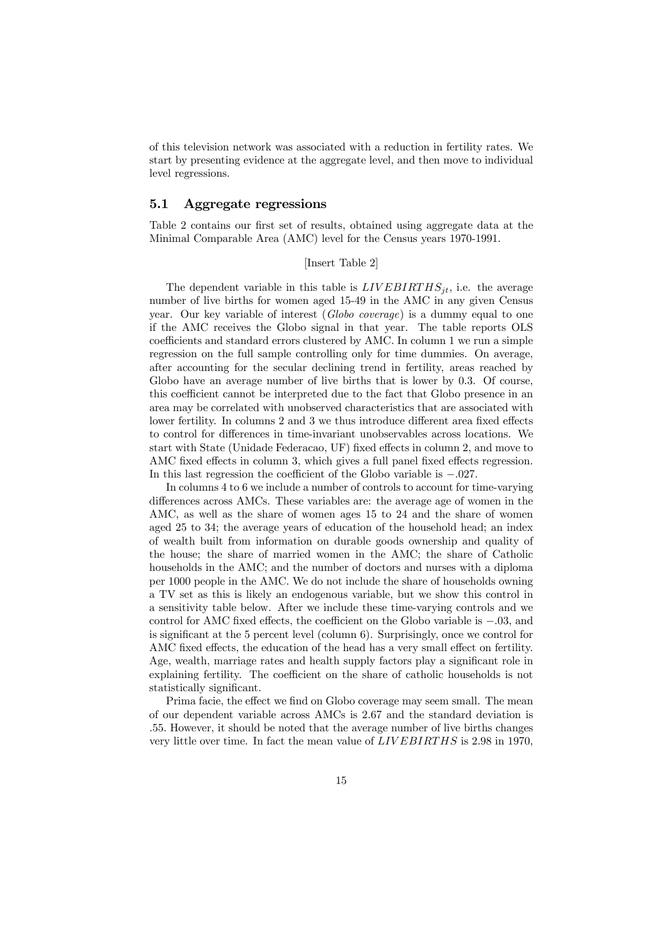of this television network was associated with a reduction in fertility rates. We start by presenting evidence at the aggregate level, and then move to individual level regressions.

#### 5.1 Aggregate regressions

Table 2 contains our first set of results, obtained using aggregate data at the Minimal Comparable Area (AMC) level for the Census years 1970-1991.

#### [Insert Table 2]

The dependent variable in this table is  $LIVEBIRTHS_{it}$ , i.e. the average number of live births for women aged 15-49 in the AMC in any given Census year. Our key variable of interest (Globo coverage) is a dummy equal to one if the AMC receives the Globo signal in that year. The table reports OLS coefficients and standard errors clustered by AMC. In column 1 we run a simple regression on the full sample controlling only for time dummies. On average, after accounting for the secular declining trend in fertility, areas reached by Globo have an average number of live births that is lower by 0.3. Of course, this coefficient cannot be interpreted due to the fact that Globo presence in an area may be correlated with unobserved characteristics that are associated with lower fertility. In columns 2 and 3 we thus introduce different area fixed effects to control for differences in time-invariant unobservables across locations. We start with State (Unidade Federacao, UF) fixed effects in column 2, and move to AMC fixed effects in column 3, which gives a full panel fixed effects regression. In this last regression the coefficient of the Globo variable is −.027.

In columns 4 to 6 we include a number of controls to account for time-varying differences across AMCs. These variables are: the average age of women in the AMC, as well as the share of women ages 15 to 24 and the share of women aged 25 to 34; the average years of education of the household head; an index of wealth built from information on durable goods ownership and quality of the house; the share of married women in the AMC; the share of Catholic households in the AMC; and the number of doctors and nurses with a diploma per 1000 people in the AMC. We do not include the share of households owning a TV set as this is likely an endogenous variable, but we show this control in a sensitivity table below. After we include these time-varying controls and we control for AMC fixed effects, the coefficient on the Globo variable is −.03, and is significant at the 5 percent level (column 6). Surprisingly, once we control for AMC fixed effects, the education of the head has a very small effect on fertility. Age, wealth, marriage rates and health supply factors play a significant role in explaining fertility. The coefficient on the share of catholic households is not statistically significant.

Prima facie, the effect we find on Globo coverage may seem small. The mean of our dependent variable across AMCs is 2.67 and the standard deviation is .55. However, it should be noted that the average number of live births changes very little over time. In fact the mean value of LIV EBIRTHS is 2.98 in 1970,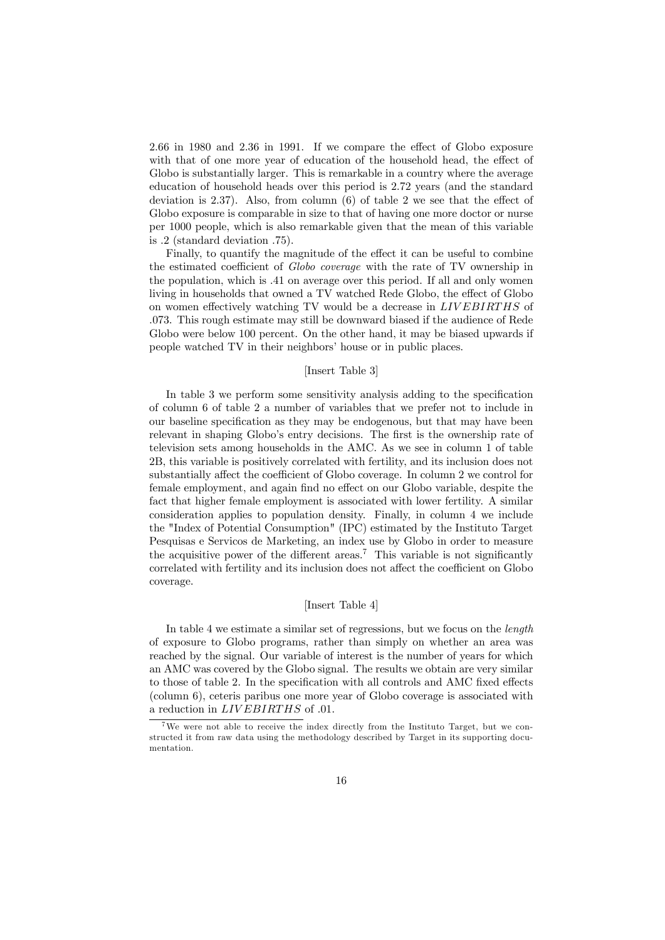2.66 in 1980 and 2.36 in 1991. If we compare the effect of Globo exposure with that of one more year of education of the household head, the effect of Globo is substantially larger. This is remarkable in a country where the average education of household heads over this period is 2.72 years (and the standard deviation is 2.37). Also, from column (6) of table 2 we see that the effect of Globo exposure is comparable in size to that of having one more doctor or nurse per 1000 people, which is also remarkable given that the mean of this variable is .2 (standard deviation .75).

Finally, to quantify the magnitude of the effect it can be useful to combine the estimated coefficient of Globo coverage with the rate of TV ownership in the population, which is .41 on average over this period. If all and only women living in households that owned a TV watched Rede Globo, the effect of Globo on women effectively watching TV would be a decrease in LIV EBIRTHS of .073. This rough estimate may still be downward biased if the audience of Rede Globo were below 100 percent. On the other hand, it may be biased upwards if people watched TV in their neighbors' house or in public places.

#### [Insert Table 3]

In table 3 we perform some sensitivity analysis adding to the specification of column 6 of table 2 a number of variables that we prefer not to include in our baseline specification as they may be endogenous, but that may have been relevant in shaping Globo's entry decisions. The first is the ownership rate of television sets among households in the AMC. As we see in column 1 of table 2B, this variable is positively correlated with fertility, and its inclusion does not substantially affect the coefficient of Globo coverage. In column 2 we control for female employment, and again find no effect on our Globo variable, despite the fact that higher female employment is associated with lower fertility. A similar consideration applies to population density. Finally, in column 4 we include the "Index of Potential Consumption" (IPC) estimated by the Instituto Target Pesquisas e Servicos de Marketing, an index use by Globo in order to measure the acquisitive power of the different areas.<sup>7</sup> This variable is not significantly correlated with fertility and its inclusion does not affect the coefficient on Globo coverage.

#### [Insert Table 4]

In table 4 we estimate a similar set of regressions, but we focus on the length of exposure to Globo programs, rather than simply on whether an area was reached by the signal. Our variable of interest is the number of years for which an AMC was covered by the Globo signal. The results we obtain are very similar to those of table 2. In the specification with all controls and AMC fixed effects (column 6), ceteris paribus one more year of Globo coverage is associated with a reduction in *LIVEBIRTHS* of .01.

<sup>&</sup>lt;sup>7</sup>We were not able to receive the index directly from the Instituto Target, but we constructed it from raw data using the methodology described by Target in its supporting documentation.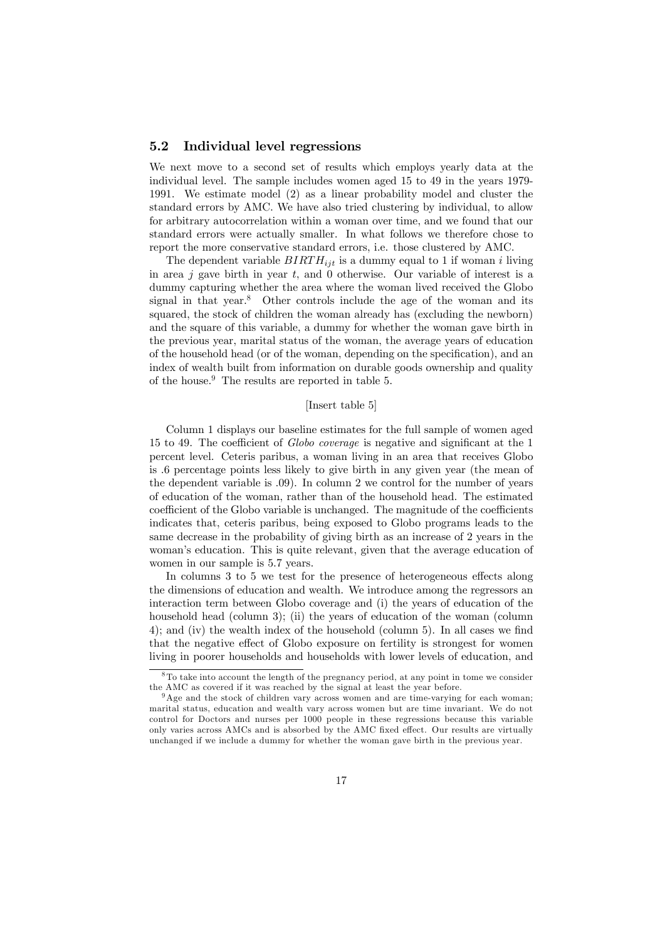#### 5.2 Individual level regressions

We next move to a second set of results which employs yearly data at the individual level. The sample includes women aged 15 to 49 in the years 1979- 1991. We estimate model (2) as a linear probability model and cluster the standard errors by AMC. We have also tried clustering by individual, to allow for arbitrary autocorrelation within a woman over time, and we found that our standard errors were actually smaller. In what follows we therefore chose to report the more conservative standard errors, i.e. those clustered by AMC.

The dependent variable  $BIRTH_{ijt}$  is a dummy equal to 1 if woman i living in area  $j$  gave birth in year  $t$ , and 0 otherwise. Our variable of interest is a dummy capturing whether the area where the woman lived received the Globo signal in that year. $8$  Other controls include the age of the woman and its squared, the stock of children the woman already has (excluding the newborn) and the square of this variable, a dummy for whether the woman gave birth in the previous year, marital status of the woman, the average years of education of the household head (or of the woman, depending on the specification), and an index of wealth built from information on durable goods ownership and quality of the house.9 The results are reported in table 5.

#### [Insert table 5]

Column 1 displays our baseline estimates for the full sample of women aged 15 to 49. The coefficient of Globo coverage is negative and significant at the 1 percent level. Ceteris paribus, a woman living in an area that receives Globo is .6 percentage points less likely to give birth in any given year (the mean of the dependent variable is .09). In column 2 we control for the number of years of education of the woman, rather than of the household head. The estimated coefficient of the Globo variable is unchanged. The magnitude of the coefficients indicates that, ceteris paribus, being exposed to Globo programs leads to the same decrease in the probability of giving birth as an increase of 2 years in the woman's education. This is quite relevant, given that the average education of women in our sample is 5.7 years.

In columns 3 to 5 we test for the presence of heterogeneous effects along the dimensions of education and wealth. We introduce among the regressors an interaction term between Globo coverage and (i) the years of education of the household head (column 3); (ii) the years of education of the woman (column 4); and (iv) the wealth index of the household (column 5). In all cases we find that the negative effect of Globo exposure on fertility is strongest for women living in poorer households and households with lower levels of education, and

<sup>8</sup>To take into account the length of the pregnancy period, at any point in tome we consider the AMC as covered if it was reached by the signal at least the year before.

<sup>9</sup>Age and the stock of children vary across women and are time-varying for each woman; marital status, education and wealth vary across women but are time invariant. We do not control for Doctors and nurses per 1000 people in these regressions because this variable only varies across AMCs and is absorbed by the AMC fixed effect. Our results are virtually unchanged if we include a dummy for whether the woman gave birth in the previous year.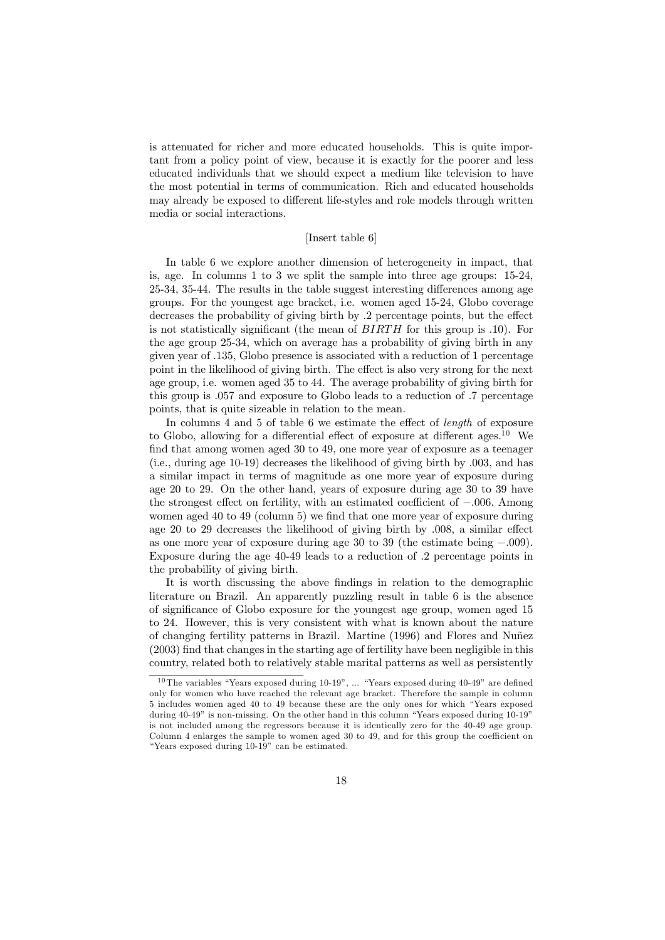is attenuated for richer and more educated households. This is quite important from a policy point of view, because it is exactly for the poorer and less educated individuals that we should expect a medium like television to have the most potential in terms of communication. Rich and educated households may already be exposed to different life-styles and role models through written media or social interactions.

#### [Insert table 6]

In table 6 we explore another dimension of heterogeneity in impact, that is, age. In columns 1 to 3 we split the sample into three age groups: 15-24, 25-34, 35-44. The results in the table suggest interesting differences among age groups. For the youngest age bracket, i.e. women aged 15-24, Globo coverage decreases the probability of giving birth by .2 percentage points, but the effect is not statistically significant (the mean of BIRTH for this group is .10). For the age group 25-34, which on average has a probability of giving birth in any given year of .135, Globo presence is associated with a reduction of 1 percentage point in the likelihood of giving birth. The effect is also very strong for the next age group, i.e. women aged 35 to 44. The average probability of giving birth for this group is .057 and exposure to Globo leads to a reduction of .7 percentage points, that is quite sizeable in relation to the mean.

In columns 4 and 5 of table 6 we estimate the effect of *length* of exposure to Globo, allowing for a differential effect of exposure at different ages.<sup>10</sup> We find that among women aged 30 to 49, one more year of exposure as a teenager (i.e., during age 10-19) decreases the likelihood of giving birth by .003, and has a similar impact in terms of magnitude as one more year of exposure during age 20 to 29. On the other hand, years of exposure during age 30 to 39 have the strongest effect on fertility, with an estimated coefficient of −.006. Among women aged 40 to 49 (column 5) we find that one more year of exposure during age 20 to 29 decreases the likelihood of giving birth by .008, a similar effect as one more year of exposure during age 30 to 39 (the estimate being −.009). Exposure during the age 40-49 leads to a reduction of .2 percentage points in the probability of giving birth.

It is worth discussing the above findings in relation to the demographic literature on Brazil. An apparently puzzling result in table 6 is the absence of significance of Globo exposure for the youngest age group, women aged 15 to 24. However, this is very consistent with what is known about the nature of changing fertility patterns in Brazil. Martine (1996) and Flores and Nuñez (2003) find that changes in the starting age of fertility have been negligible in this country, related both to relatively stable marital patterns as well as persistently

 $10$ The variables "Years exposed during  $10-19$ ", ... "Years exposed during  $40-49$ " are defined only for women who have reached the relevant age bracket. Therefore the sample in column 5 includes women aged 40 to 49 because these are the only ones for which "Years exposed during 40-49" is non-missing. On the other hand in this column "Years exposed during 10-19" is not included among the regressors because it is identically zero for the 40-49 age group. Column 4 enlarges the sample to women aged 30 to 49, and for this group the coefficient on "Years exposed during 10-19" can be estimated.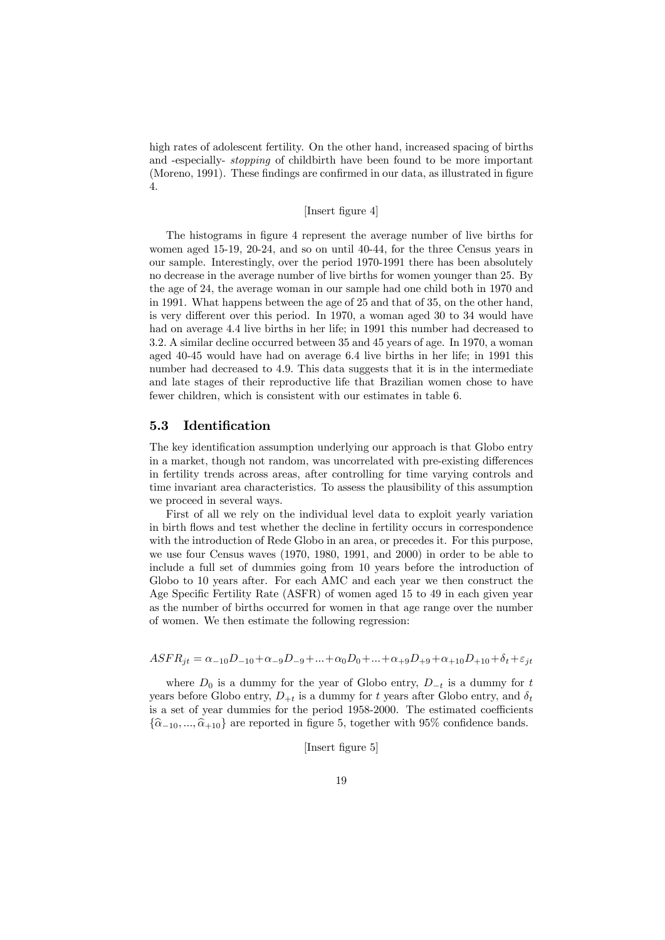high rates of adolescent fertility. On the other hand, increased spacing of births and -especially- stopping of childbirth have been found to be more important (Moreno, 1991). These findings are confirmed in our data, as illustrated in figure 4.

#### [Insert figure 4]

The histograms in figure 4 represent the average number of live births for women aged 15-19, 20-24, and so on until 40-44, for the three Census years in our sample. Interestingly, over the period 1970-1991 there has been absolutely no decrease in the average number of live births for women younger than 25. By the age of 24, the average woman in our sample had one child both in 1970 and in 1991. What happens between the age of 25 and that of 35, on the other hand, is very different over this period. In 1970, a woman aged 30 to 34 would have had on average 4.4 live births in her life; in 1991 this number had decreased to 3.2. A similar decline occurred between 35 and 45 years of age. In 1970, a woman aged 40-45 would have had on average 6.4 live births in her life; in 1991 this number had decreased to 4.9. This data suggests that it is in the intermediate and late stages of their reproductive life that Brazilian women chose to have fewer children, which is consistent with our estimates in table 6.

#### 5.3 Identification

The key identification assumption underlying our approach is that Globo entry in a market, though not random, was uncorrelated with pre-existing differences in fertility trends across areas, after controlling for time varying controls and time invariant area characteristics. To assess the plausibility of this assumption we proceed in several ways.

First of all we rely on the individual level data to exploit yearly variation in birth flows and test whether the decline in fertility occurs in correspondence with the introduction of Rede Globo in an area, or precedes it. For this purpose, we use four Census waves (1970, 1980, 1991, and 2000) in order to be able to include a full set of dummies going from 10 years before the introduction of Globo to 10 years after. For each AMC and each year we then construct the Age Specific Fertility Rate (ASFR) of women aged 15 to 49 in each given year as the number of births occurred for women in that age range over the number of women. We then estimate the following regression:

### $ASFR_{it} = \alpha_{-10}D_{-10} + \alpha_{-9}D_{-9} + ... + \alpha_0D_0 + ... + \alpha_{+9}D_{+9} + \alpha_{+10}D_{+10} + \delta_t + \varepsilon_{it}$

where  $D_0$  is a dummy for the year of Globo entry,  $D_{-t}$  is a dummy for t years before Globo entry,  $D_{+t}$  is a dummy for t years after Globo entry, and  $\delta_t$ is a set of year dummies for the period 1958-2000. The estimated coefficients  $\{\hat{\alpha}_{-10}, ..., \hat{\alpha}_{+10}\}$  are reported in figure 5, together with 95% confidence bands.

[Insert figure 5]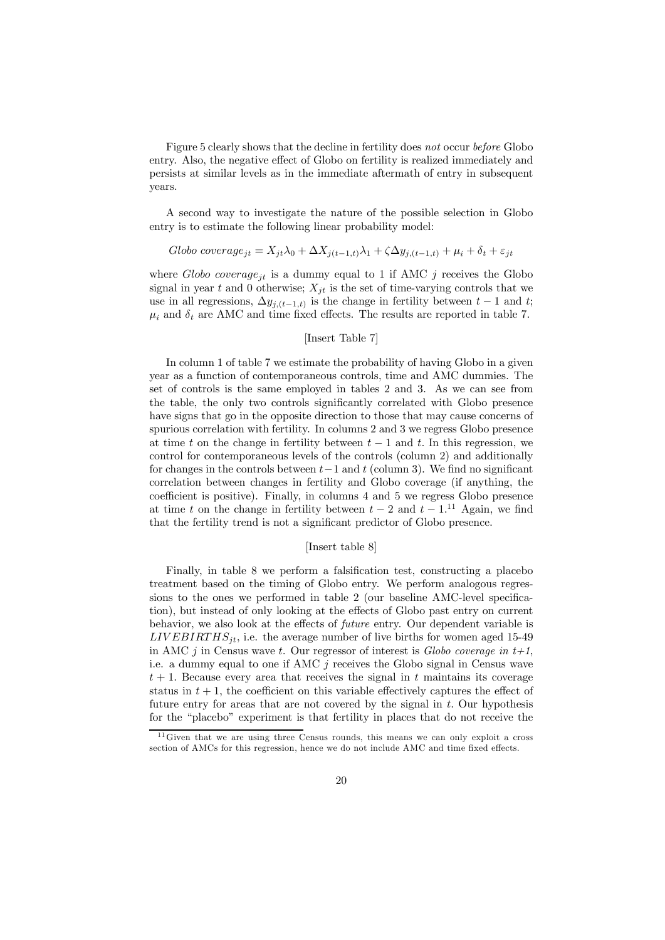Figure 5 clearly shows that the decline in fertility does not occur before Globo entry. Also, the negative effect of Globo on fertility is realized immediately and persists at similar levels as in the immediate aftermath of entry in subsequent years.

A second way to investigate the nature of the possible selection in Globo entry is to estimate the following linear probability model:

Globo coverage<sub>jt</sub> = 
$$
X_{jt} \lambda_0 + \Delta X_{j(t-1,t)} \lambda_1 + \zeta \Delta y_{j(t-1,t)} + \mu_i + \delta_t + \varepsilon_{jt}
$$

where  $Globo$  coverage<sub>it</sub> is a dummy equal to 1 if AMC j receives the Globo signal in year t and 0 otherwise;  $X_{it}$  is the set of time-varying controls that we use in all regressions,  $\Delta y_{j,(t-1,t)}$  is the change in fertility between  $t-1$  and t;  $\mu_i$  and  $\delta_t$  are AMC and time fixed effects. The results are reported in table 7.

#### [Insert Table 7]

In column 1 of table 7 we estimate the probability of having Globo in a given year as a function of contemporaneous controls, time and AMC dummies. The set of controls is the same employed in tables 2 and 3. As we can see from the table, the only two controls significantly correlated with Globo presence have signs that go in the opposite direction to those that may cause concerns of spurious correlation with fertility. In columns 2 and 3 we regress Globo presence at time t on the change in fertility between  $t-1$  and t. In this regression, we control for contemporaneous levels of the controls (column 2) and additionally for changes in the controls between  $t-1$  and t (column 3). We find no significant correlation between changes in fertility and Globo coverage (if anything, the coefficient is positive). Finally, in columns 4 and 5 we regress Globo presence at time t on the change in fertility between  $t - 2$  and  $t - 1$ .<sup>11</sup> Again, we find that the fertility trend is not a significant predictor of Globo presence.

#### [Insert table 8]

Finally, in table 8 we perform a falsification test, constructing a placebo treatment based on the timing of Globo entry. We perform analogous regressions to the ones we performed in table 2 (our baseline AMC-level specification), but instead of only looking at the effects of Globo past entry on current behavior, we also look at the effects of future entry. Our dependent variable is  $LIVEBIRTHS_{jt}$ , i.e. the average number of live births for women aged 15-49 in AMC j in Census wave t. Our regressor of interest is Globo coverage in  $t+1$ , i.e. a dummy equal to one if AMC  $j$  receives the Globo signal in Census wave  $t + 1$ . Because every area that receives the signal in t maintains its coverage status in  $t + 1$ , the coefficient on this variable effectively captures the effect of future entry for areas that are not covered by the signal in t. Our hypothesis for the "placebo" experiment is that fertility in places that do not receive the

<sup>&</sup>lt;sup>11</sup> Given that we are using three Census rounds, this means we can only exploit a cross section of AMCs for this regression, hence we do not include AMC and time fixed effects.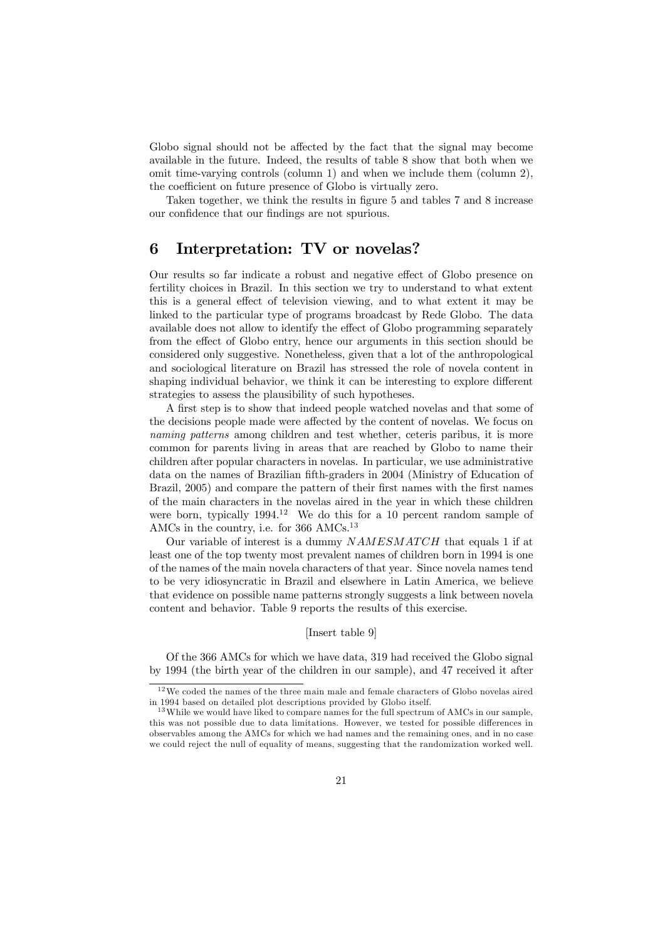Globo signal should not be affected by the fact that the signal may become available in the future. Indeed, the results of table 8 show that both when we omit time-varying controls (column 1) and when we include them (column 2), the coefficient on future presence of Globo is virtually zero.

Taken together, we think the results in figure 5 and tables 7 and 8 increase our confidence that our findings are not spurious.

## 6 Interpretation: TV or novelas?

Our results so far indicate a robust and negative effect of Globo presence on fertility choices in Brazil. In this section we try to understand to what extent this is a general effect of television viewing, and to what extent it may be linked to the particular type of programs broadcast by Rede Globo. The data available does not allow to identify the effect of Globo programming separately from the effect of Globo entry, hence our arguments in this section should be considered only suggestive. Nonetheless, given that a lot of the anthropological and sociological literature on Brazil has stressed the role of novela content in shaping individual behavior, we think it can be interesting to explore different strategies to assess the plausibility of such hypotheses.

A first step is to show that indeed people watched novelas and that some of the decisions people made were affected by the content of novelas. We focus on naming patterns among children and test whether, ceteris paribus, it is more common for parents living in areas that are reached by Globo to name their children after popular characters in novelas. In particular, we use administrative data on the names of Brazilian fifth-graders in 2004 (Ministry of Education of Brazil, 2005) and compare the pattern of their first names with the first names of the main characters in the novelas aired in the year in which these children were born, typically  $1994<sup>12</sup>$  We do this for a 10 percent random sample of AMCs in the country, i.e. for 366 AMCs. $^{13}$ 

Our variable of interest is a dummy  $NAMESMATCH$  that equals 1 if at least one of the top twenty most prevalent names of children born in 1994 is one of the names of the main novela characters of that year. Since novela names tend to be very idiosyncratic in Brazil and elsewhere in Latin America, we believe that evidence on possible name patterns strongly suggests a link between novela content and behavior. Table 9 reports the results of this exercise.

#### [Insert table 9]

Of the 366 AMCs for which we have data, 319 had received the Globo signal by 1994 (the birth year of the children in our sample), and 47 received it after

 $12$ We coded the names of the three main male and female characters of Globo novelas aired in 1994 based on detailed plot descriptions provided by Globo itself.

<sup>&</sup>lt;sup>13</sup>While we would have liked to compare names for the full spectrum of AMCs in our sample, this was not possible due to data limitations. However, we tested for possible differences in observables among the AMCs for which we had names and the remaining ones, and in no case we could reject the null of equality of means, suggesting that the randomization worked well.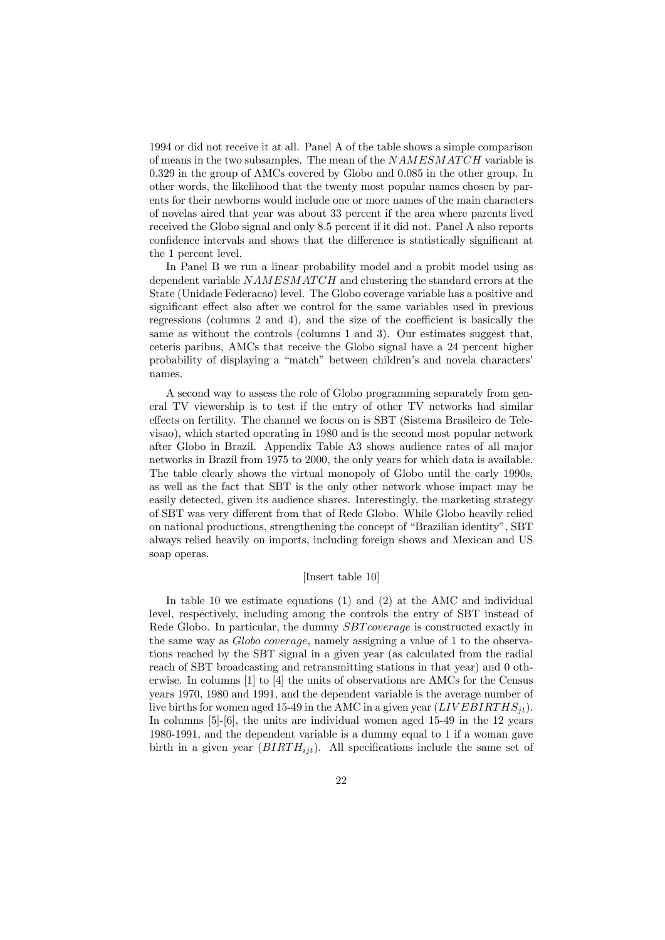1994 or did not receive it at all. Panel A of the table shows a simple comparison of means in the two subsamples. The mean of the  $NAMESMATCH$  variable is 0.329 in the group of AMCs covered by Globo and 0.085 in the other group. In other words, the likelihood that the twenty most popular names chosen by parents for their newborns would include one or more names of the main characters of novelas aired that year was about 33 percent if the area where parents lived received the Globo signal and only 8.5 percent if it did not. Panel A also reports confidence intervals and shows that the difference is statistically significant at the 1 percent level.

In Panel B we run a linear probability model and a probit model using as dependent variable  $NAMESMATCH$  and clustering the standard errors at the State (Unidade Federacao) level. The Globo coverage variable has a positive and significant effect also after we control for the same variables used in previous regressions (columns 2 and 4), and the size of the coefficient is basically the same as without the controls (columns 1 and 3). Our estimates suggest that, ceteris paribus, AMCs that receive the Globo signal have a 24 percent higher probability of displaying a "match" between children's and novela characters' names.

A second way to assess the role of Globo programming separately from general TV viewership is to test if the entry of other TV networks had similar effects on fertility. The channel we focus on is SBT (Sistema Brasileiro de Televisao), which started operating in 1980 and is the second most popular network after Globo in Brazil. Appendix Table A3 shows audience rates of all major networks in Brazil from 1975 to 2000, the only years for which data is available. The table clearly shows the virtual monopoly of Globo until the early 1990s, as well as the fact that SBT is the only other network whose impact may be easily detected, given its audience shares. Interestingly, the marketing strategy of SBT was very different from that of Rede Globo. While Globo heavily relied on national productions, strengthening the concept of "Brazilian identity", SBT always relied heavily on imports, including foreign shows and Mexican and US soap operas.

#### [Insert table 10]

In table 10 we estimate equations (1) and (2) at the AMC and individual level, respectively, including among the controls the entry of SBT instead of Rede Globo. In particular, the dummy SBT coverage is constructed exactly in the same way as Globo coverage, namely assigning a value of 1 to the observations reached by the SBT signal in a given year (as calculated from the radial reach of SBT broadcasting and retransmitting stations in that year) and 0 otherwise. In columns [1] to [4] the units of observations are AMCs for the Census years 1970, 1980 and 1991, and the dependent variable is the average number of live births for women aged 15-49 in the AMC in a given year  $(LIVEBIRTHS_{it}).$ In columns [5]-[6], the units are individual women aged 15-49 in the 12 years 1980-1991, and the dependent variable is a dummy equal to 1 if a woman gave birth in a given year  $(BIRTH_{ijt})$ . All specifications include the same set of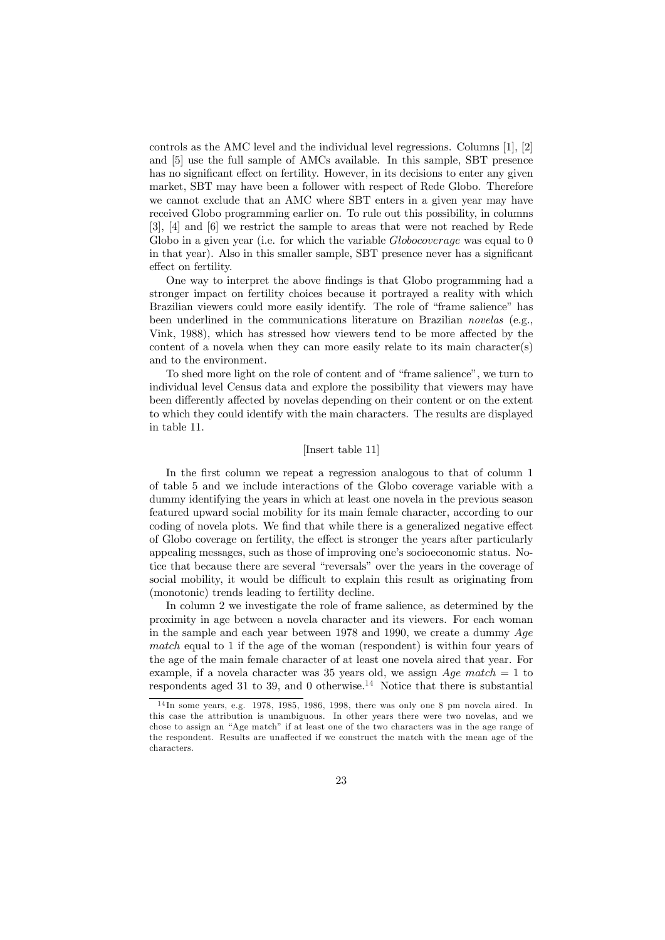controls as the AMC level and the individual level regressions. Columns [1], [2] and [5] use the full sample of AMCs available. In this sample, SBT presence has no significant effect on fertility. However, in its decisions to enter any given market, SBT may have been a follower with respect of Rede Globo. Therefore we cannot exclude that an AMC where SBT enters in a given year may have received Globo programming earlier on. To rule out this possibility, in columns [3], [4] and [6] we restrict the sample to areas that were not reached by Rede Globo in a given year (i.e. for which the variable  $Globocoverae$  was equal to 0 in that year). Also in this smaller sample, SBT presence never has a significant effect on fertility.

One way to interpret the above findings is that Globo programming had a stronger impact on fertility choices because it portrayed a reality with which Brazilian viewers could more easily identify. The role of "frame salience" has been underlined in the communications literature on Brazilian novelas (e.g., Vink, 1988), which has stressed how viewers tend to be more affected by the content of a novela when they can more easily relate to its main character(s) and to the environment.

To shed more light on the role of content and of "frame salience", we turn to individual level Census data and explore the possibility that viewers may have been differently affected by novelas depending on their content or on the extent to which they could identify with the main characters. The results are displayed in table 11.

#### [Insert table 11]

In the first column we repeat a regression analogous to that of column 1 of table 5 and we include interactions of the Globo coverage variable with a dummy identifying the years in which at least one novela in the previous season featured upward social mobility for its main female character, according to our coding of novela plots. We find that while there is a generalized negative effect of Globo coverage on fertility, the effect is stronger the years after particularly appealing messages, such as those of improving one's socioeconomic status. Notice that because there are several "reversals" over the years in the coverage of social mobility, it would be difficult to explain this result as originating from (monotonic) trends leading to fertility decline.

In column 2 we investigate the role of frame salience, as determined by the proximity in age between a novela character and its viewers. For each woman in the sample and each year between 1978 and 1990, we create a dummy  $Age$ match equal to 1 if the age of the woman (respondent) is within four years of the age of the main female character of at least one novela aired that year. For example, if a novela character was 35 years old, we assign  $Age match = 1$  to respondents aged 31 to 39, and 0 otherwise.<sup>14</sup> Notice that there is substantial

 $14$  In some years, e.g. 1978, 1985, 1986, 1998, there was only one 8 pm novela aired. In this case the attribution is unambiguous. In other years there were two novelas, and we chose to assign an "Age match" if at least one of the two characters was in the age range of the respondent. Results are unaffected if we construct the match with the mean age of the characters.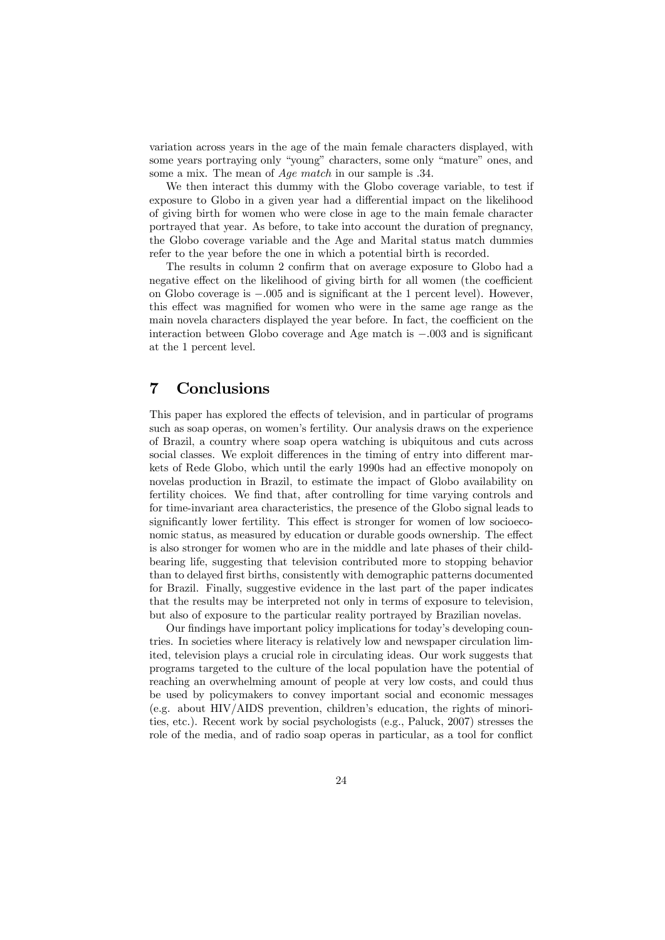variation across years in the age of the main female characters displayed, with some years portraying only "young" characters, some only "mature" ones, and some a mix. The mean of Age match in our sample is .34.

We then interact this dummy with the Globo coverage variable, to test if exposure to Globo in a given year had a differential impact on the likelihood of giving birth for women who were close in age to the main female character portrayed that year. As before, to take into account the duration of pregnancy, the Globo coverage variable and the Age and Marital status match dummies refer to the year before the one in which a potential birth is recorded.

The results in column 2 confirm that on average exposure to Globo had a negative effect on the likelihood of giving birth for all women (the coefficient on Globo coverage is −.005 and is significant at the 1 percent level). However, this effect was magnified for women who were in the same age range as the main novela characters displayed the year before. In fact, the coefficient on the interaction between Globo coverage and Age match is −.003 and is significant at the 1 percent level.

## 7 Conclusions

This paper has explored the effects of television, and in particular of programs such as soap operas, on women's fertility. Our analysis draws on the experience of Brazil, a country where soap opera watching is ubiquitous and cuts across social classes. We exploit differences in the timing of entry into different markets of Rede Globo, which until the early 1990s had an effective monopoly on novelas production in Brazil, to estimate the impact of Globo availability on fertility choices. We find that, after controlling for time varying controls and for time-invariant area characteristics, the presence of the Globo signal leads to significantly lower fertility. This effect is stronger for women of low socioeconomic status, as measured by education or durable goods ownership. The effect is also stronger for women who are in the middle and late phases of their childbearing life, suggesting that television contributed more to stopping behavior than to delayed first births, consistently with demographic patterns documented for Brazil. Finally, suggestive evidence in the last part of the paper indicates that the results may be interpreted not only in terms of exposure to television, but also of exposure to the particular reality portrayed by Brazilian novelas.

Our findings have important policy implications for today's developing countries. In societies where literacy is relatively low and newspaper circulation limited, television plays a crucial role in circulating ideas. Our work suggests that programs targeted to the culture of the local population have the potential of reaching an overwhelming amount of people at very low costs, and could thus be used by policymakers to convey important social and economic messages (e.g. about HIV/AIDS prevention, children's education, the rights of minorities, etc.). Recent work by social psychologists (e.g., Paluck, 2007) stresses the role of the media, and of radio soap operas in particular, as a tool for conflict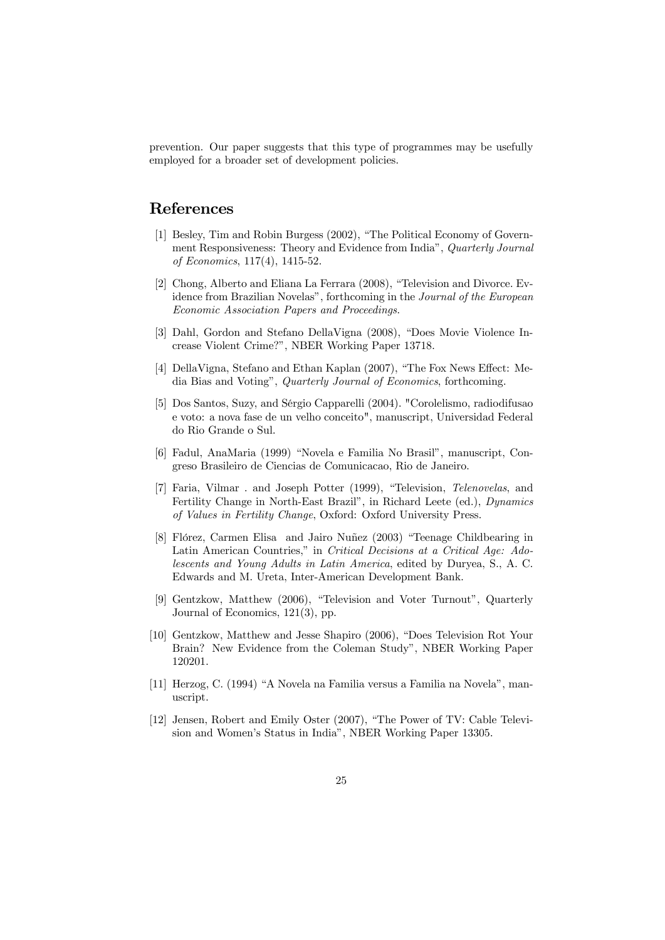prevention. Our paper suggests that this type of programmes may be usefully employed for a broader set of development policies.

## References

- [1] Besley, Tim and Robin Burgess (2002), "The Political Economy of Government Responsiveness: Theory and Evidence from India", Quarterly Journal of Economics, 117(4), 1415-52.
- [2] Chong, Alberto and Eliana La Ferrara (2008), "Television and Divorce. Evidence from Brazilian Novelas", forthcoming in the Journal of the European Economic Association Papers and Proceedings.
- [3] Dahl, Gordon and Stefano DellaVigna (2008), "Does Movie Violence Increase Violent Crime?", NBER Working Paper 13718.
- [4] DellaVigna, Stefano and Ethan Kaplan (2007), "The Fox News Effect: Media Bias and Voting", Quarterly Journal of Economics, forthcoming.
- [5] Dos Santos, Suzy, and Sérgio Capparelli (2004). "Corolelismo, radiodifusao e voto: a nova fase de un velho conceito", manuscript, Universidad Federal do Rio Grande o Sul.
- [6] Fadul, AnaMaria (1999) "Novela e Familia No Brasil", manuscript, Congreso Brasileiro de Ciencias de Comunicacao, Rio de Janeiro.
- [7] Faria, Vilmar . and Joseph Potter (1999), "Television, Telenovelas, and Fertility Change in North-East Brazil", in Richard Leete (ed.), Dynamics of Values in Fertility Change, Oxford: Oxford University Press.
- [8] Flórez, Carmen Elisa and Jairo Nuñez (2003) "Teenage Childbearing in Latin American Countries," in Critical Decisions at a Critical Age: Adolescents and Young Adults in Latin America, edited by Duryea, S., A. C. Edwards and M. Ureta, Inter-American Development Bank.
- [9] Gentzkow, Matthew (2006), "Television and Voter Turnout", Quarterly Journal of Economics, 121(3), pp.
- [10] Gentzkow, Matthew and Jesse Shapiro (2006), "Does Television Rot Your Brain? New Evidence from the Coleman Study", NBER Working Paper 120201.
- [11] Herzog, C. (1994) "A Novela na Familia versus a Familia na Novela", manuscript.
- [12] Jensen, Robert and Emily Oster (2007), "The Power of TV: Cable Television and Women's Status in India", NBER Working Paper 13305.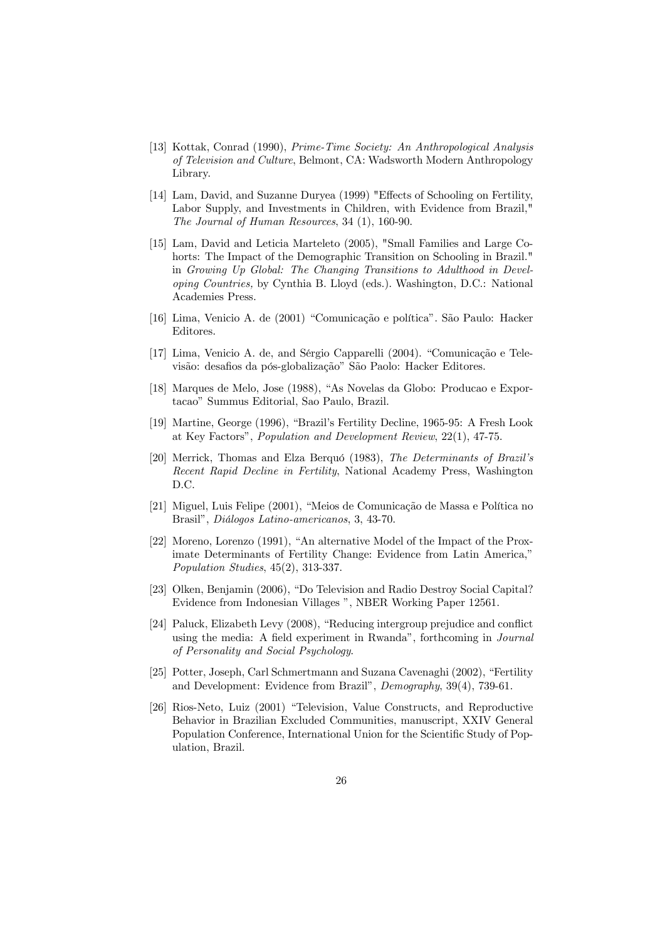- [13] Kottak, Conrad (1990), Prime-Time Society: An Anthropological Analysis of Television and Culture, Belmont, CA: Wadsworth Modern Anthropology Library.
- [14] Lam, David, and Suzanne Duryea (1999) "Effects of Schooling on Fertility, Labor Supply, and Investments in Children, with Evidence from Brazil," The Journal of Human Resources, 34 (1), 160-90.
- [15] Lam, David and Leticia Marteleto (2005), "Small Families and Large Cohorts: The Impact of the Demographic Transition on Schooling in Brazil." in Growing Up Global: The Changing Transitions to Adulthood in Developing Countries, by Cynthia B. Lloyd (eds.). Washington, D.C.: National Academies Press.
- [16] Lima, Venicio A. de (2001) "Comunicação e política". São Paulo: Hacker Editores.
- [17] Lima, Venicio A. de, and Sérgio Capparelli (2004). "Comunicação e Televisão: desafios da pós-globalização" São Paolo: Hacker Editores.
- [18] Marques de Melo, Jose (1988), "As Novelas da Globo: Producao e Exportacao" Summus Editorial, Sao Paulo, Brazil.
- [19] Martine, George (1996), "Brazil's Fertility Decline, 1965-95: A Fresh Look at Key Factors", Population and Development Review, 22(1), 47-75.
- [20] Merrick, Thomas and Elza Berquó (1983), The Determinants of Brazil's Recent Rapid Decline in Fertility, National Academy Press, Washington D.C.
- [21] Miguel, Luis Felipe (2001), "Meios de Comunicação de Massa e Política no Brasil", Diálogos Latino-americanos, 3, 43-70.
- [22] Moreno, Lorenzo (1991), "An alternative Model of the Impact of the Proximate Determinants of Fertility Change: Evidence from Latin America," Population Studies, 45(2), 313-337.
- [23] Olken, Benjamin (2006), "Do Television and Radio Destroy Social Capital? Evidence from Indonesian Villages ", NBER Working Paper 12561.
- [24] Paluck, Elizabeth Levy (2008), "Reducing intergroup prejudice and conflict using the media: A field experiment in Rwanda", forthcoming in *Journal* of Personality and Social Psychology.
- [25] Potter, Joseph, Carl Schmertmann and Suzana Cavenaghi (2002), "Fertility and Development: Evidence from Brazil", Demography, 39(4), 739-61.
- [26] Rios-Neto, Luiz (2001) "Television, Value Constructs, and Reproductive Behavior in Brazilian Excluded Communities, manuscript, XXIV General Population Conference, International Union for the Scientific Study of Population, Brazil.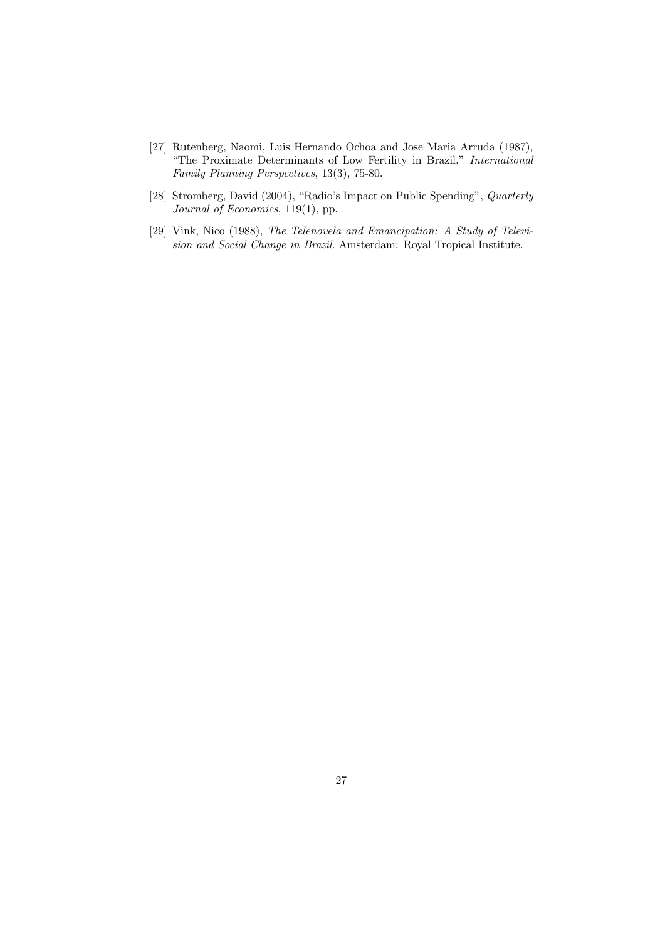- [27] Rutenberg, Naomi, Luis Hernando Ochoa and Jose Maria Arruda (1987), "The Proximate Determinants of Low Fertility in Brazil," International Family Planning Perspectives, 13(3), 75-80.
- [28] Stromberg, David (2004), "Radio's Impact on Public Spending", Quarterly Journal of Economics, 119(1), pp.
- [29] Vink, Nico (1988), The Telenovela and Emancipation: A Study of Television and Social Change in Brazil. Amsterdam: Royal Tropical Institute.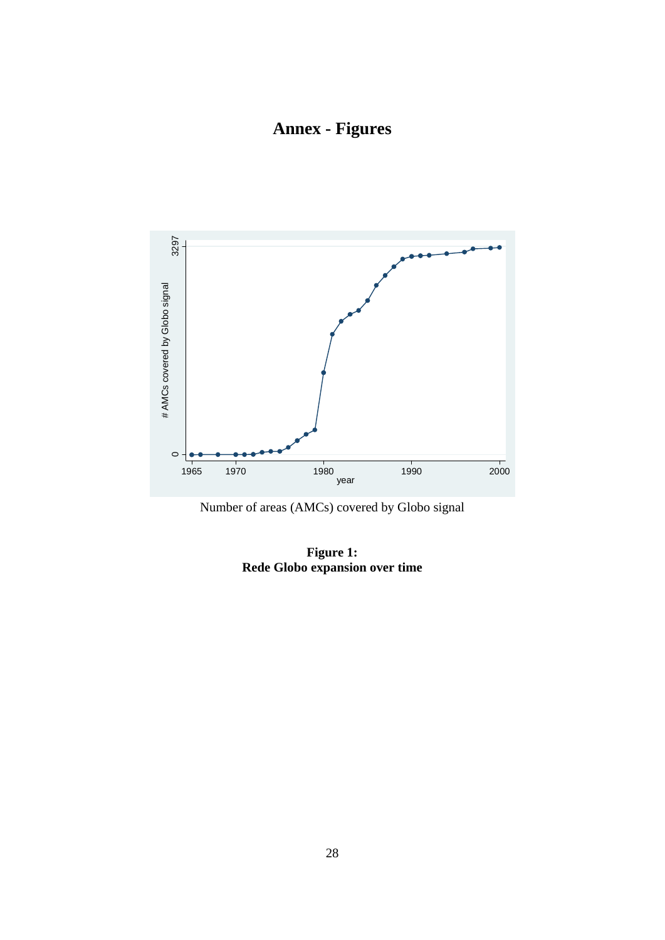**Annex - Figures** 





**Figure 1: Rede Globo expansion over time**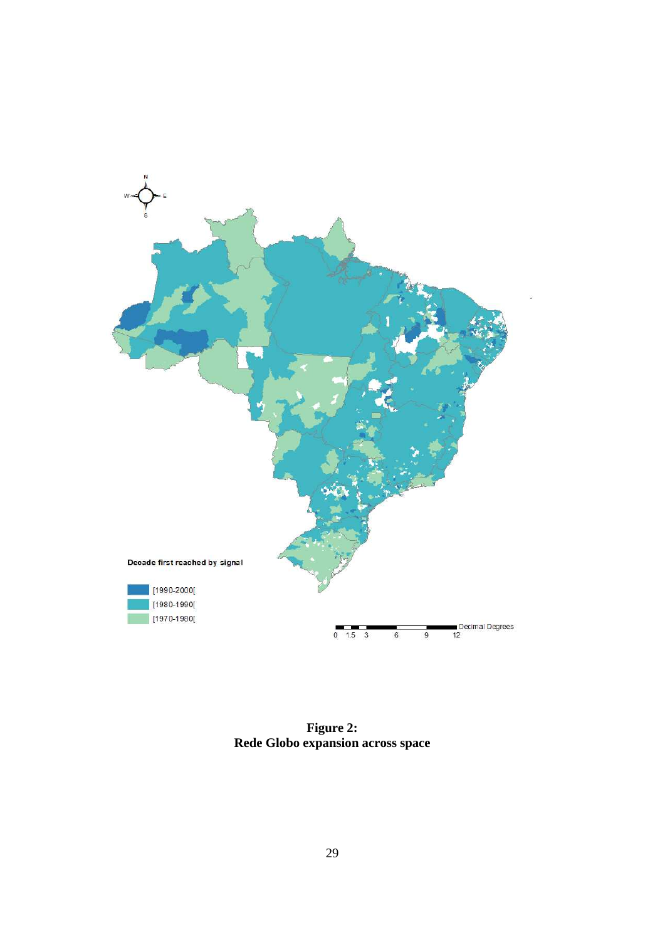

**Figure 2: Rede Globo expansion across space**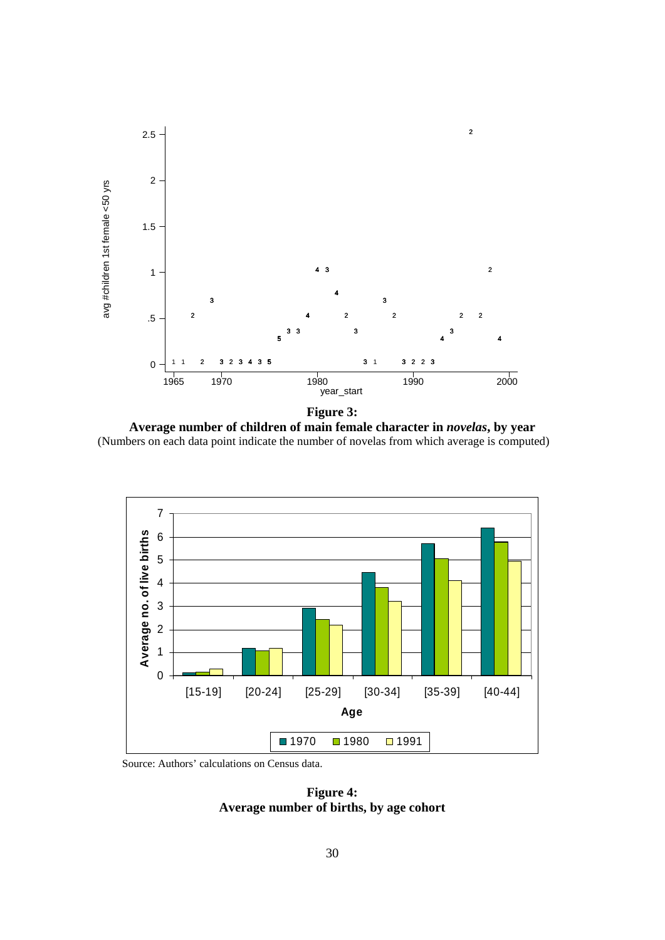

**Figure 3: Average number of children of main female character in** *novelas***, by year**  (Numbers on each data point indicate the number of novelas from which average is computed)



Source: Authors' calculations on Census data.

**Figure 4: Average number of births, by age cohort**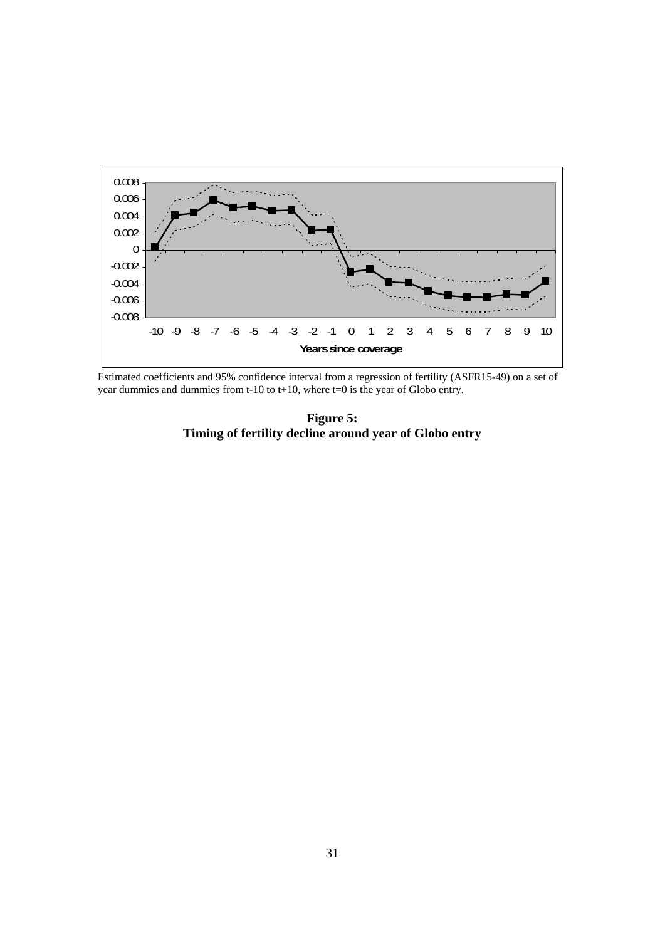

Estimated coefficients and 95% confidence interval from a regression of fertility (ASFR15-49) on a set of year dummies and dummies from t-10 to t+10, where  $t=0$  is the year of Globo entry.

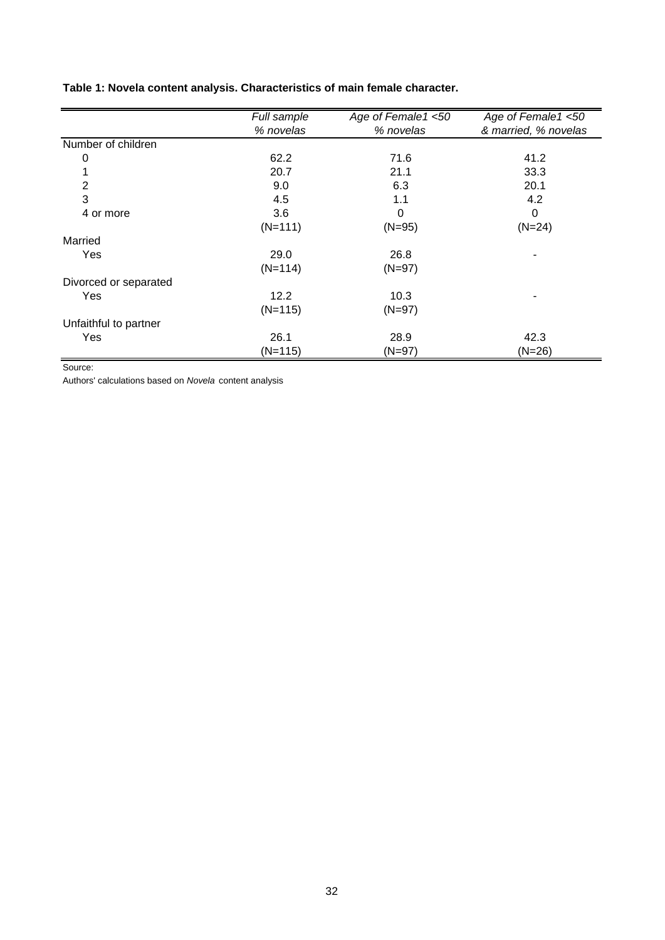|                       | Full sample | Age of Female1 <50 | Age of Female1 <50   |
|-----------------------|-------------|--------------------|----------------------|
|                       | % novelas   | % novelas          | & married, % novelas |
| Number of children    |             |                    |                      |
| 0                     | 62.2        | 71.6               | 41.2                 |
|                       | 20.7        | 21.1               | 33.3                 |
| 2                     | 9.0         | 6.3                | 20.1                 |
| 3                     | 4.5         | 1.1                | 4.2                  |
| 4 or more             | 3.6         | 0                  | 0                    |
|                       | $(N=111)$   | $(N=95)$           | $(N=24)$             |
| Married               |             |                    |                      |
| Yes                   | 29.0        | 26.8               |                      |
|                       | $(N=114)$   | $(N=97)$           |                      |
| Divorced or separated |             |                    |                      |
| Yes                   | 12.2        | 10.3               | ۰                    |
|                       | $(N=115)$   | $(N=97)$           |                      |
| Unfaithful to partner |             |                    |                      |
| Yes                   | 26.1        | 28.9               | 42.3                 |
|                       | $(N=115)$   | $(N=97)$           | $(N=26)$             |

## **Table 1: Novela content analysis. Characteristics of main female character.**

Source:

Authors' calculations based on *Novela* content analysis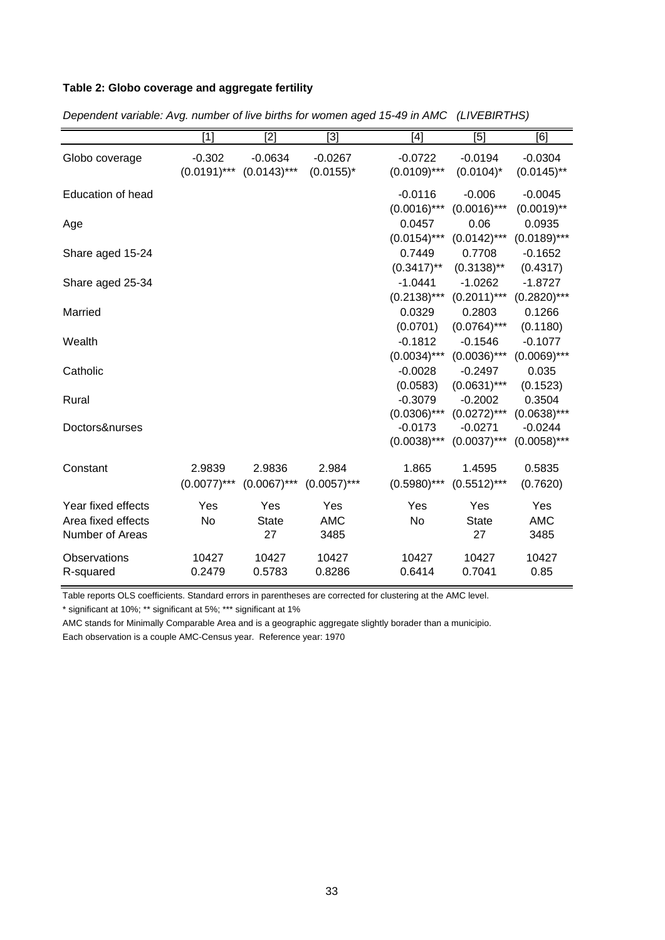## **Table 2: Globo coverage and aggregate fertility**

|                          | [1]            | [2]            | $[3]$          | [4]            | [5]            | [6]            |
|--------------------------|----------------|----------------|----------------|----------------|----------------|----------------|
| Globo coverage           | $-0.302$       | $-0.0634$      | $-0.0267$      | $-0.0722$      | $-0.0194$      | $-0.0304$      |
|                          | $(0.0191)$ *** | $(0.0143)***$  | $(0.0155)^*$   | $(0.0109)$ *** | $(0.0104)^*$   | $(0.0145)$ **  |
| <b>Education of head</b> |                |                |                | $-0.0116$      | $-0.006$       | $-0.0045$      |
|                          |                |                |                | $(0.0016)$ *** | $(0.0016)$ *** | $(0.0019)$ **  |
| Age                      |                |                |                | 0.0457         | 0.06           | 0.0935         |
|                          |                |                |                | $(0.0154)$ *** | $(0.0142)$ *** | $(0.0189)$ *** |
| Share aged 15-24         |                |                |                | 0.7449         | 0.7708         | $-0.1652$      |
|                          |                |                |                | $(0.3417)$ **  | $(0.3138)$ **  | (0.4317)       |
| Share aged 25-34         |                |                |                | $-1.0441$      | $-1.0262$      | $-1.8727$      |
|                          |                |                |                | $(0.2138)$ *** | $(0.2011)$ *** | $(0.2820)$ *** |
| Married                  |                |                |                | 0.0329         | 0.2803         | 0.1266         |
|                          |                |                |                | (0.0701)       | $(0.0764)$ *** | (0.1180)       |
| Wealth                   |                |                |                | $-0.1812$      | $-0.1546$      | $-0.1077$      |
|                          |                |                |                | $(0.0034)$ *** | $(0.0036)$ *** | $(0.0069)$ *** |
| Catholic                 |                |                |                | $-0.0028$      | $-0.2497$      | 0.035          |
|                          |                |                |                | (0.0583)       | $(0.0631)$ *** | (0.1523)       |
| Rural                    |                |                |                | $-0.3079$      | $-0.2002$      | 0.3504         |
|                          |                |                |                | $(0.0306)$ *** | $(0.0272)$ *** | $(0.0638)***$  |
| Doctors&nurses           |                |                |                | $-0.0173$      | $-0.0271$      | $-0.0244$      |
|                          |                |                |                | $(0.0038)$ *** | $(0.0037)$ *** | $(0.0058)$ *** |
| Constant                 | 2.9839         | 2.9836         | 2.984          | 1.865          | 1.4595         | 0.5835         |
|                          | $(0.0077)$ *** | $(0.0067)$ *** | $(0.0057)$ *** | $(0.5980)$ *** | $(0.5512)$ *** | (0.7620)       |
| Year fixed effects       | Yes            | Yes            | Yes            | Yes            | Yes            | Yes            |
| Area fixed effects       | No             | <b>State</b>   | <b>AMC</b>     | No             | <b>State</b>   | <b>AMC</b>     |
| Number of Areas          |                | 27             | 3485           |                | 27             | 3485           |
| Observations             | 10427          | 10427          | 10427          | 10427          | 10427          | 10427          |
| R-squared                | 0.2479         | 0.5783         | 0.8286         | 0.6414         | 0.7041         | 0.85           |

*Dependent variable: Avg. number of live births for women aged 15-49 in AMC (LIVEBIRTHS)*

Table reports OLS coefficients. Standard errors in parentheses are corrected for clustering at the AMC level.

\* significant at 10%; \*\* significant at 5%; \*\*\* significant at 1%

AMC stands for Minimally Comparable Area and is a geographic aggregate slightly borader than a municipio.

Each observation is a couple AMC-Census year. Reference year: 1970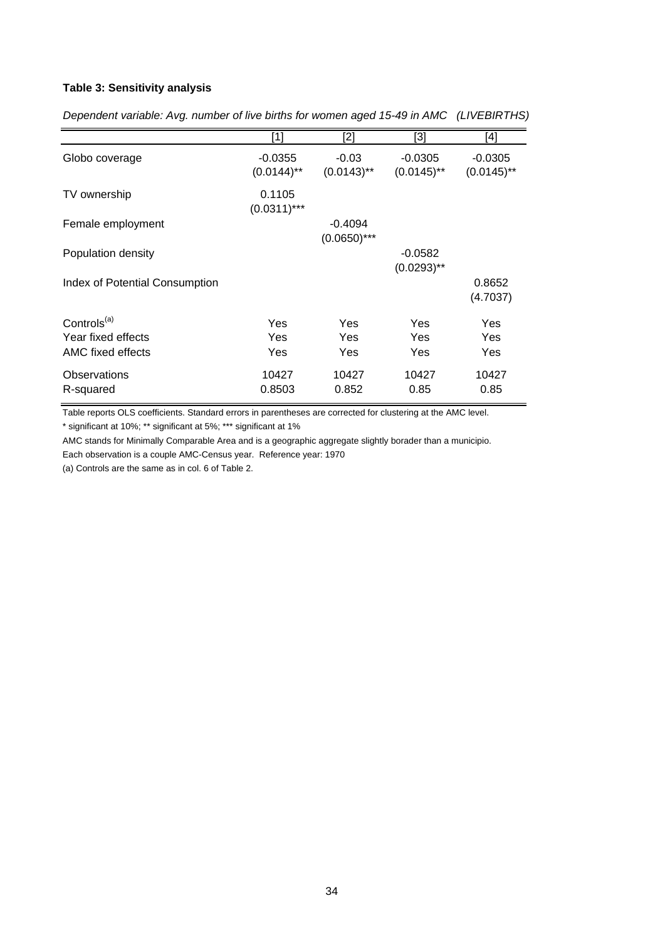### **Table 3: Sensitivity analysis**

|                                       | $[1]$                      | [2]                         | [3]                        | [4]                        |
|---------------------------------------|----------------------------|-----------------------------|----------------------------|----------------------------|
| Globo coverage                        | $-0.0355$<br>$(0.0144)$ ** | $-0.03$<br>$(0.0143)$ **    | $-0.0305$<br>$(0.0145)$ ** | $-0.0305$<br>$(0.0145)$ ** |
| TV ownership                          | 0.1105<br>$(0.0311)$ ***   |                             |                            |                            |
| Female employment                     |                            | $-0.4094$<br>$(0.0650)$ *** |                            |                            |
| Population density                    |                            |                             | $-0.0582$<br>$(0.0293)$ ** |                            |
| <b>Index of Potential Consumption</b> |                            |                             |                            | 0.8652<br>(4.7037)         |
| Controls <sup>(a)</sup>               | Yes                        | Yes                         | Yes                        | Yes                        |
| Year fixed effects                    | Yes                        | Yes                         | Yes                        | Yes                        |
| AMC fixed effects                     | Yes                        | Yes                         | Yes                        | Yes                        |
| Observations<br>R-squared             | 10427<br>0.8503            | 10427<br>0.852              | 10427<br>0.85              | 10427<br>0.85              |

*Dependent variable: Avg. number of live births for women aged 15-49 in AMC (LIVEBIRTHS)*

Table reports OLS coefficients. Standard errors in parentheses are corrected for clustering at the AMC level.

\* significant at 10%; \*\* significant at 5%; \*\*\* significant at 1%

AMC stands for Minimally Comparable Area and is a geographic aggregate slightly borader than a municipio.

Each observation is a couple AMC-Census year. Reference year: 1970

(a) Controls are the same as in col. 6 of Table 2.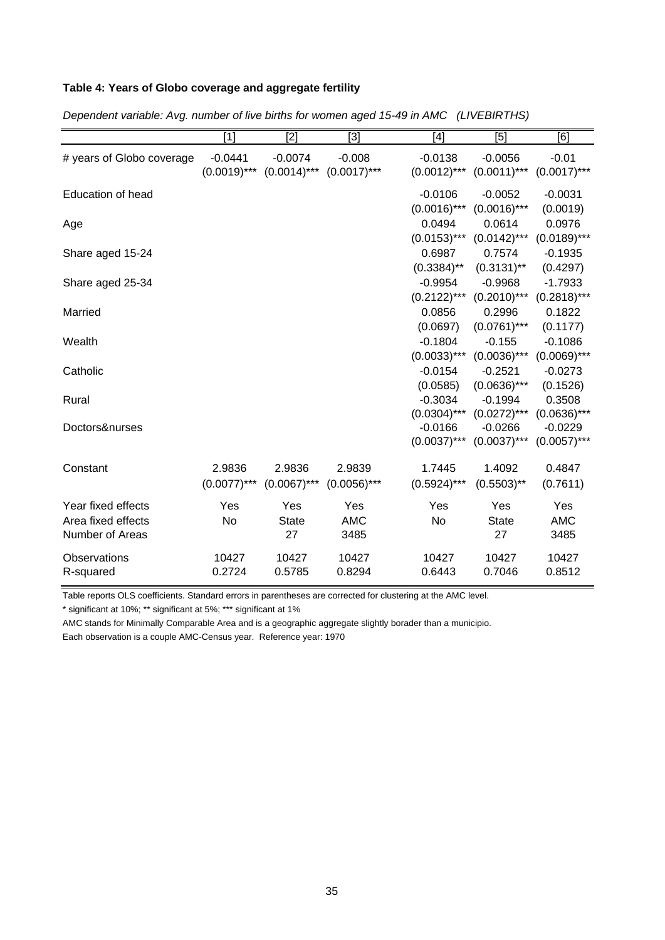## **Table 4: Years of Globo coverage and aggregate fertility**

|                           | $[1]$          | [2]            | $[3]$          | $[4]$          | [5]            | [6]            |
|---------------------------|----------------|----------------|----------------|----------------|----------------|----------------|
| # years of Globo coverage | $-0.0441$      | $-0.0074$      | $-0.008$       | $-0.0138$      | $-0.0056$      | $-0.01$        |
|                           | $(0.0019)$ *** | $(0.0014)$ *** | $(0.0017)$ *** | $(0.0012)$ *** | $(0.0011)$ *** | $(0.0017)$ *** |
| <b>Education of head</b>  |                |                |                | $-0.0106$      | $-0.0052$      | $-0.0031$      |
|                           |                |                |                | $(0.0016)$ *** | $(0.0016)$ *** | (0.0019)       |
| Age                       |                |                |                | 0.0494         | 0.0614         | 0.0976         |
|                           |                |                |                | $(0.0153)***$  | $(0.0142)$ *** | $(0.0189)$ *** |
| Share aged 15-24          |                |                |                | 0.6987         | 0.7574         | $-0.1935$      |
|                           |                |                |                | $(0.3384)$ **  | $(0.3131)$ **  | (0.4297)       |
| Share aged 25-34          |                |                |                | $-0.9954$      | $-0.9968$      | $-1.7933$      |
|                           |                |                |                | $(0.2122)***$  | $(0.2010)$ *** | $(0.2818)$ *** |
| Married                   |                |                |                | 0.0856         | 0.2996         | 0.1822         |
|                           |                |                |                | (0.0697)       | $(0.0761)$ *** | (0.1177)       |
| Wealth                    |                |                |                | $-0.1804$      | $-0.155$       | $-0.1086$      |
|                           |                |                |                | $(0.0033)$ *** | $(0.0036)$ *** | $(0.0069)$ *** |
| Catholic                  |                |                |                | $-0.0154$      | $-0.2521$      | $-0.0273$      |
|                           |                |                |                | (0.0585)       | $(0.0636)$ *** | (0.1526)       |
| Rural                     |                |                |                | $-0.3034$      | $-0.1994$      | 0.3508         |
|                           |                |                |                | $(0.0304)$ *** | $(0.0272)$ *** | $(0.0636)$ *** |
| Doctors&nurses            |                |                |                | $-0.0166$      | $-0.0266$      | $-0.0229$      |
|                           |                |                |                | $(0.0037)$ *** | $(0.0037)$ *** | $(0.0057)$ *** |
| Constant                  | 2.9836         | 2.9836         | 2.9839         | 1.7445         | 1.4092         | 0.4847         |
|                           | $(0.0077)$ *** | $(0.0067)$ *** | $(0.0056)$ *** | $(0.5924)$ *** | $(0.5503)$ **  | (0.7611)       |
| Year fixed effects        | Yes            | Yes            | Yes            | Yes            | Yes            | Yes            |
| Area fixed effects        | <b>No</b>      | <b>State</b>   | <b>AMC</b>     | No             | <b>State</b>   | <b>AMC</b>     |
| Number of Areas           |                | 27             | 3485           |                | 27             | 3485           |
| Observations              | 10427          | 10427          | 10427          | 10427          | 10427          | 10427          |
| R-squared                 | 0.2724         | 0.5785         | 0.8294         | 0.6443         | 0.7046         | 0.8512         |

*Dependent variable: Avg. number of live births for women aged 15-49 in AMC (LIVEBIRTHS)*

Table reports OLS coefficients. Standard errors in parentheses are corrected for clustering at the AMC level.

\* significant at 10%; \*\* significant at 5%; \*\*\* significant at 1%

AMC stands for Minimally Comparable Area and is a geographic aggregate slightly borader than a municipio.

Each observation is a couple AMC-Census year. Reference year: 1970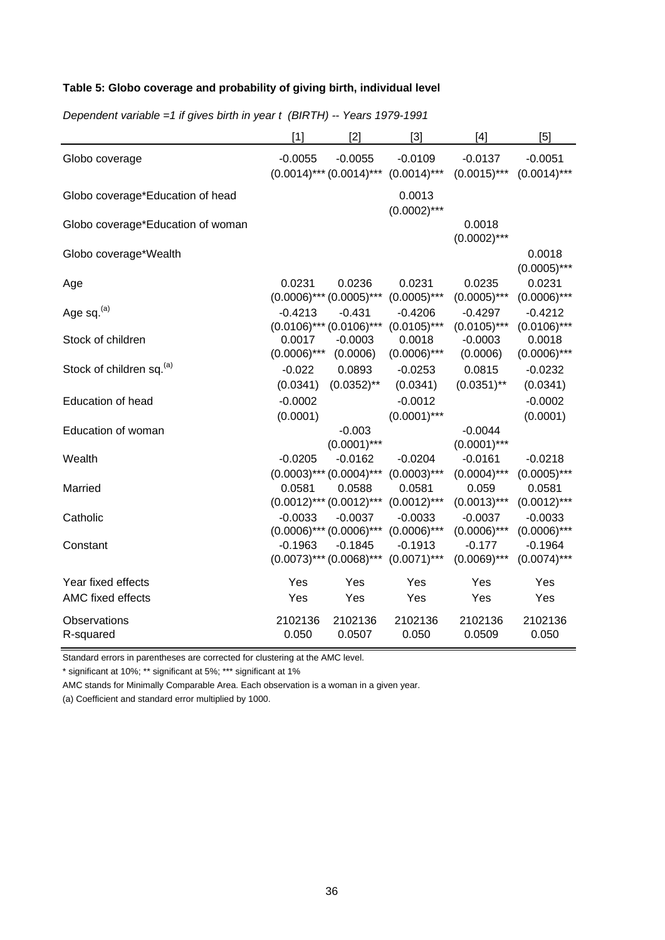## **Table 5: Globo coverage and probability of giving birth, individual level**

|                                      | $[1]$                    | $[2]$                                      | $[3]$                                                     | $[4]$                       | [5]                         |
|--------------------------------------|--------------------------|--------------------------------------------|-----------------------------------------------------------|-----------------------------|-----------------------------|
| Globo coverage                       | $-0.0055$                | $-0.0055$                                  | $-0.0109$<br>$(0.0014)$ *** $(0.0014)$ *** $(0.0014)$ *** | $-0.0137$<br>$(0.0015)$ *** | $-0.0051$<br>$(0.0014)$ *** |
| Globo coverage*Education of head     |                          |                                            | 0.0013<br>$(0.0002)$ ***                                  |                             |                             |
| Globo coverage*Education of woman    |                          |                                            |                                                           | 0.0018<br>$(0.0002)$ ***    |                             |
| Globo coverage*Wealth                |                          |                                            |                                                           |                             | 0.0018<br>$(0.0005)$ ***    |
| Age                                  | 0.0231                   | 0.0236<br>$(0.0006)$ *** $(0.0005)$ ***    | 0.0231<br>$(0.0005)$ ***                                  | 0.0235<br>$(0.0005)$ ***    | 0.0231<br>$(0.0006)$ ***    |
| Age sq. <sup>(a)</sup>               | $-0.4213$                | $-0.431$<br>$(0.0106)$ *** $(0.0106)$ ***  | $-0.4206$<br>$(0.0105)$ ***                               | $-0.4297$<br>$(0.0105)$ *** | $-0.4212$<br>$(0.0106)$ *** |
| Stock of children                    | 0.0017<br>$(0.0006)$ *** | $-0.0003$<br>(0.0006)                      | 0.0018<br>$(0.0006)$ ***                                  | $-0.0003$<br>(0.0006)       | 0.0018<br>$(0.0006)$ ***    |
| Stock of children sq. <sup>(a)</sup> | $-0.022$<br>(0.0341)     | 0.0893<br>$(0.0352)$ **                    | $-0.0253$<br>(0.0341)                                     | 0.0815<br>$(0.0351)$ **     | $-0.0232$<br>(0.0341)       |
| <b>Education of head</b>             | $-0.0002$<br>(0.0001)    |                                            | $-0.0012$<br>$(0.0001)$ ***                               |                             | $-0.0002$<br>(0.0001)       |
| Education of woman                   |                          | $-0.003$<br>$(0.0001)$ ***                 |                                                           | $-0.0044$<br>$(0.0001)$ *** |                             |
| Wealth                               | $-0.0205$                | $-0.0162$<br>$(0.0003)$ *** $(0.0004)$ *** | $-0.0204$<br>$(0.0003)$ ***                               | $-0.0161$<br>$(0.0004)$ *** | $-0.0218$<br>$(0.0005)$ *** |
| Married                              | 0.0581                   | 0.0588<br>$(0.0012)$ *** $(0.0012)$ ***    | 0.0581<br>$(0.0012)$ ***                                  | 0.059<br>$(0.0013)$ ***     | 0.0581<br>$(0.0012)$ ***    |
| Catholic                             | $-0.0033$                | $-0.0037$<br>$(0.0006)$ *** $(0.0006)$ *** | $-0.0033$<br>$(0.0006)$ ***                               | $-0.0037$<br>$(0.0006)$ *** | $-0.0033$<br>$(0.0006)$ *** |
| Constant                             | $-0.1963$                | $-0.1845$<br>$(0.0073)***$ $(0.0068)***$   | $-0.1913$<br>$(0.0071)$ ***                               | $-0.177$<br>$(0.0069)$ ***  | $-0.1964$<br>$(0.0074)$ *** |
| Year fixed effects                   | Yes                      | Yes                                        | Yes                                                       | Yes                         | Yes                         |
| AMC fixed effects                    | Yes                      | Yes                                        | Yes                                                       | Yes                         | Yes                         |
| Observations<br>R-squared            | 2102136<br>0.050         | 2102136<br>0.0507                          | 2102136<br>0.050                                          | 2102136<br>0.0509           | 2102136<br>0.050            |

*Dependent variable =1 if gives birth in year t (BIRTH) -- Years 1979-1991*

Standard errors in parentheses are corrected for clustering at the AMC level.

\* significant at 10%; \*\* significant at 5%; \*\*\* significant at 1%

AMC stands for Minimally Comparable Area. Each observation is a woman in a given year.

(a) Coefficient and standard error multiplied by 1000.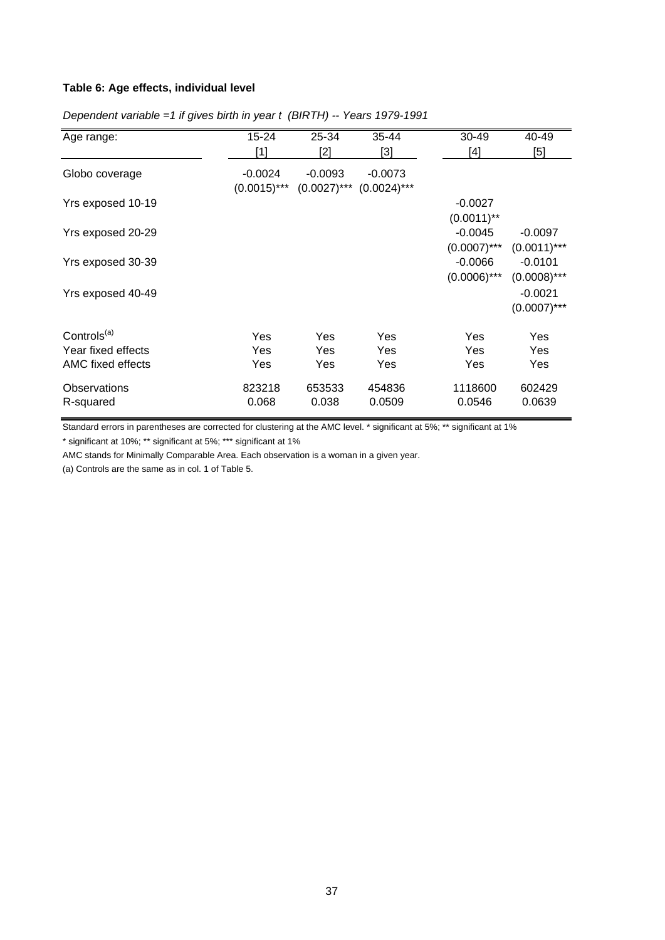### **Table 6: Age effects, individual level**

| Age range:              | 15-24                       | 25-34                       | 35-44                       | $30 - 49$      | 40-49          |
|-------------------------|-----------------------------|-----------------------------|-----------------------------|----------------|----------------|
|                         | $[1]$                       | [2]                         | [3]                         | [4]            | $[5]$          |
| Globo coverage          | $-0.0024$<br>$(0.0015)$ *** | $-0.0093$<br>$(0.0027)$ *** | $-0.0073$<br>$(0.0024)$ *** |                |                |
| Yrs exposed 10-19       |                             |                             |                             | $-0.0027$      |                |
|                         |                             |                             |                             | $(0.0011)$ **  |                |
| Yrs exposed 20-29       |                             |                             |                             | $-0.0045$      | $-0.0097$      |
|                         |                             |                             |                             | $(0.0007)$ *** | $(0.0011)$ *** |
| Yrs exposed 30-39       |                             |                             |                             | $-0.0066$      | $-0.0101$      |
|                         |                             |                             |                             | $(0.0006)$ *** | $(0.0008)$ *** |
| Yrs exposed 40-49       |                             |                             |                             |                | $-0.0021$      |
|                         |                             |                             |                             |                | $(0.0007)$ *** |
| Controls <sup>(a)</sup> | Yes                         | Yes                         | Yes                         | Yes            | Yes            |
| Year fixed effects      | <b>Yes</b>                  | Yes                         | Yes                         | Yes            | Yes            |
| AMC fixed effects       | <b>Yes</b>                  | Yes                         | Yes                         | Yes            | Yes            |
|                         |                             |                             |                             |                |                |
| Observations            | 823218                      | 653533                      | 454836                      | 1118600        | 602429         |
| R-squared               | 0.068                       | 0.038                       | 0.0509                      | 0.0546         | 0.0639         |

*Dependent variable =1 if gives birth in year t (BIRTH) -- Years 1979-1991*

Standard errors in parentheses are corrected for clustering at the AMC level. \* significant at 5%; \*\* significant at 1%

\* significant at 10%; \*\* significant at 5%; \*\*\* significant at 1%

AMC stands for Minimally Comparable Area. Each observation is a woman in a given year.

(a) Controls are the same as in col. 1 of Table 5.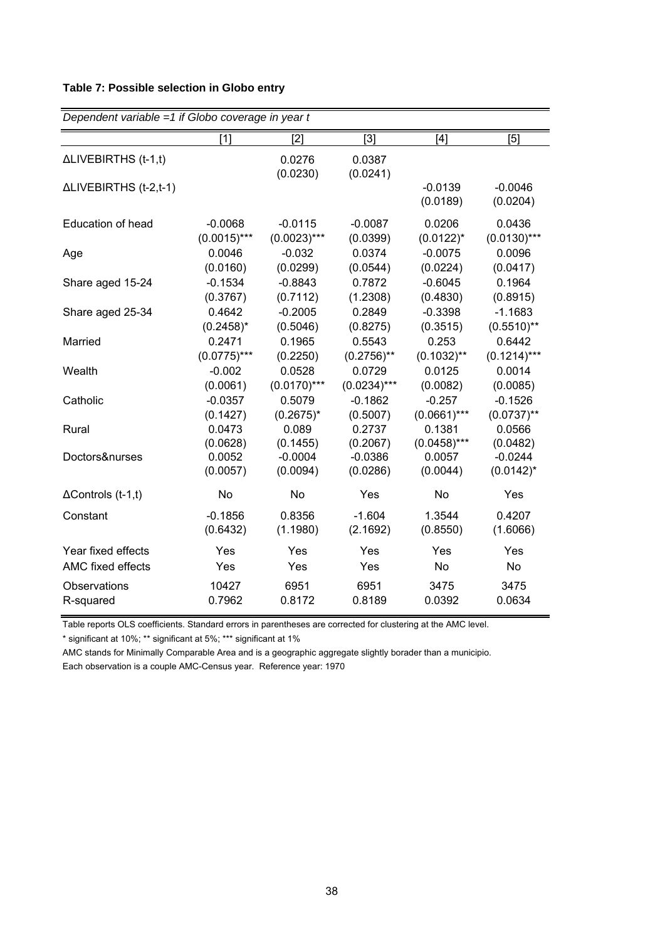## **Table 7: Possible selection in Globo entry**

| Dependent variable $=1$ if Globo coverage in year t |                |                    |                    |                       |                       |  |
|-----------------------------------------------------|----------------|--------------------|--------------------|-----------------------|-----------------------|--|
|                                                     | [1]            | [2]                | [3]                | $[4]$                 | [5]                   |  |
| ΔLIVEBIRTHS (t-1,t)                                 |                | 0.0276<br>(0.0230) | 0.0387<br>(0.0241) |                       |                       |  |
| ΔLIVEBIRTHS (t-2,t-1)                               |                |                    |                    | $-0.0139$<br>(0.0189) | $-0.0046$<br>(0.0204) |  |
| Education of head                                   | $-0.0068$      | $-0.0115$          | $-0.0087$          | 0.0206                | 0.0436                |  |
|                                                     | $(0.0015)$ *** | $(0.0023)***$      | (0.0399)           | $(0.0122)^*$          | $(0.0130)$ ***        |  |
| Age                                                 | 0.0046         | $-0.032$           | 0.0374             | $-0.0075$             | 0.0096                |  |
|                                                     | (0.0160)       | (0.0299)           | (0.0544)           | (0.0224)              | (0.0417)              |  |
| Share aged 15-24                                    | $-0.1534$      | $-0.8843$          | 0.7872             | $-0.6045$             | 0.1964                |  |
|                                                     | (0.3767)       | (0.7112)           | (1.2308)           | (0.4830)              | (0.8915)              |  |
| Share aged 25-34                                    | 0.4642         | $-0.2005$          | 0.2849             | $-0.3398$             | $-1.1683$             |  |
|                                                     | $(0.2458)^*$   | (0.5046)           | (0.8275)           | (0.3515)              | $(0.5510)$ **         |  |
| Married                                             | 0.2471         | 0.1965             | 0.5543             | 0.253                 | 0.6442                |  |
|                                                     | $(0.0775)$ *** | (0.2250)           | $(0.2756)$ **      | $(0.1032)$ **         | $(0.1214)***$         |  |
| Wealth                                              | $-0.002$       | 0.0528             | 0.0729             | 0.0125                | 0.0014                |  |
|                                                     | (0.0061)       | $(0.0170)$ ***     | $(0.0234)***$      | (0.0082)              | (0.0085)              |  |
| Catholic                                            | $-0.0357$      | 0.5079             | $-0.1862$          | $-0.257$              | $-0.1526$             |  |
|                                                     | (0.1427)       | $(0.2675)^*$       | (0.5007)           | $(0.0661)***$         | $(0.0737)$ **         |  |
| Rural                                               | 0.0473         | 0.089              | 0.2737             | 0.1381                | 0.0566                |  |
|                                                     | (0.0628)       | (0.1455)           | (0.2067)           | $(0.0458)$ ***        | (0.0482)              |  |
| Doctors&nurses                                      | 0.0052         | $-0.0004$          | $-0.0386$          | 0.0057                | $-0.0244$             |  |
|                                                     | (0.0057)       | (0.0094)           | (0.0286)           | (0.0044)              | $(0.0142)^*$          |  |
| $\Delta$ Controls (t-1,t)                           | No             | No                 | Yes                | No                    | Yes                   |  |
| Constant                                            | $-0.1856$      | 0.8356             | $-1.604$           | 1.3544                | 0.4207                |  |
|                                                     | (0.6432)       | (1.1980)           | (2.1692)           | (0.8550)              | (1.6066)              |  |
| Year fixed effects                                  | Yes            | Yes                | Yes                | Yes                   | Yes                   |  |
| AMC fixed effects                                   | Yes            | Yes                | Yes                | No                    | No                    |  |
| Observations                                        | 10427          | 6951               | 6951               | 3475                  | 3475                  |  |
| R-squared                                           | 0.7962         | 0.8172             | 0.8189             | 0.0392                | 0.0634                |  |

Table reports OLS coefficients. Standard errors in parentheses are corrected for clustering at the AMC level.

\* significant at 10%; \*\* significant at 5%; \*\*\* significant at 1%

AMC stands for Minimally Comparable Area and is a geographic aggregate slightly borader than a municipio. Each observation is a couple AMC-Census year. Reference year: 1970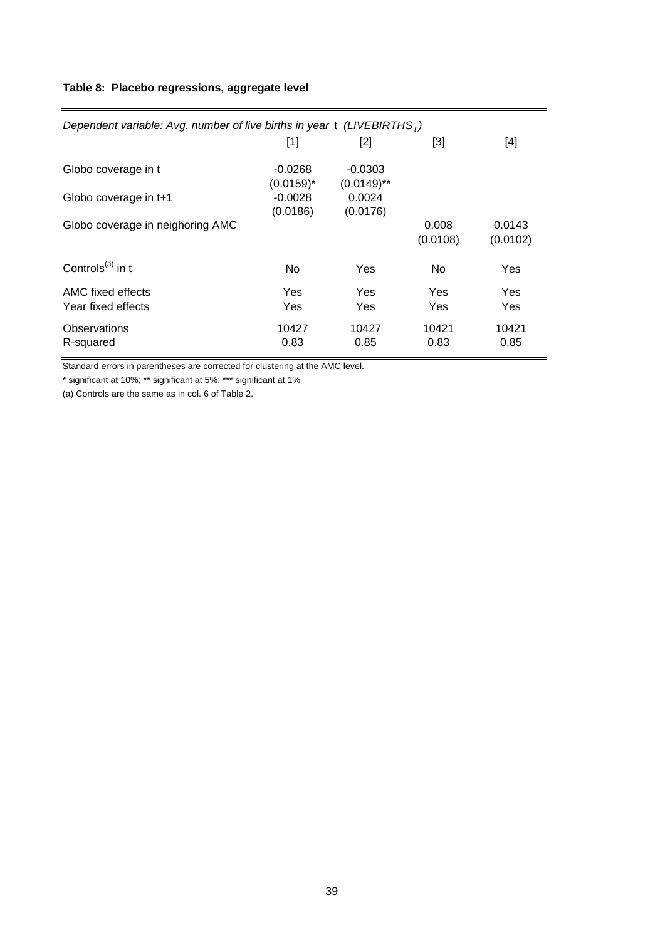## **Table 8: Placebo regressions, aggregate level**

| Dependent variable: Avg. number of live births in year $t$ (LIVEBIRTHS,) |                           |                            |                   |                    |  |  |
|--------------------------------------------------------------------------|---------------------------|----------------------------|-------------------|--------------------|--|--|
|                                                                          | [1]                       | [2]                        | [3]               | [4]                |  |  |
| Globo coverage in t                                                      | $-0.0268$<br>$(0.0159)^*$ | $-0.0303$<br>$(0.0149)$ ** |                   |                    |  |  |
| Globo coverage in t+1                                                    | $-0.0028$<br>(0.0186)     | 0.0024<br>(0.0176)         |                   |                    |  |  |
| Globo coverage in neighoring AMC                                         |                           |                            | 0.008<br>(0.0108) | 0.0143<br>(0.0102) |  |  |
| Controls <sup>(a)</sup> in t                                             | No.                       | Yes                        | No.               | <b>Yes</b>         |  |  |
| AMC fixed effects<br>Year fixed effects                                  | Yes<br>Yes                | Yes<br>Yes                 | Yes<br>Yes        | Yes<br>Yes         |  |  |
| Observations<br>R-squared                                                | 10427<br>0.83             | 10427<br>0.85              | 10421<br>0.83     | 10421<br>0.85      |  |  |

Standard errors in parentheses are corrected for clustering at the AMC level.

\* significant at 10%; \*\* significant at 5%; \*\*\* significant at 1%

(a) Controls are the same as in col. 6 of Table 2.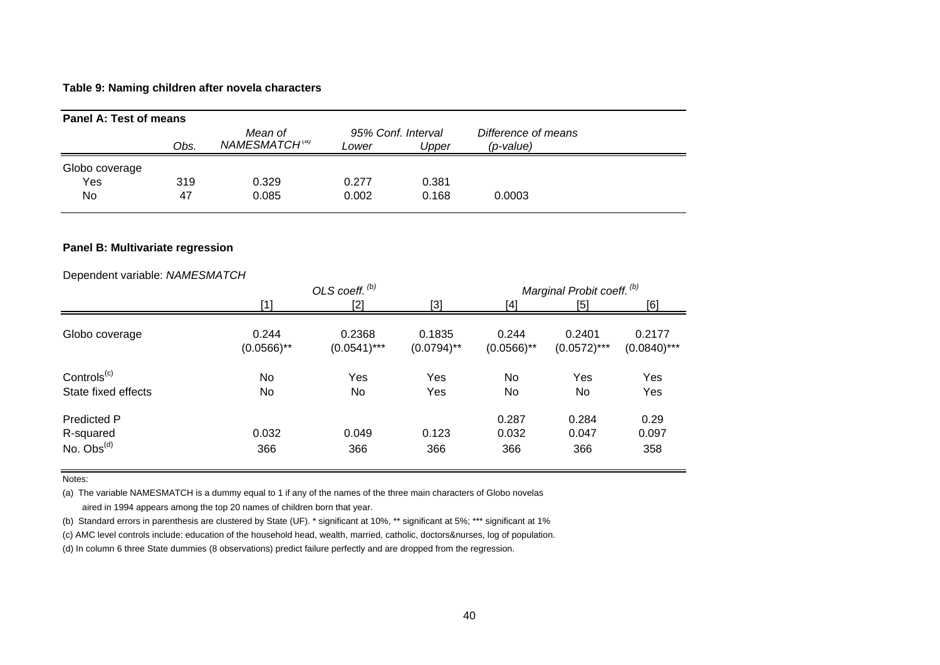### **Table 9: Naming children after novela characters**

| Panel A: Test of means |      |                                      |       |                             |                                     |  |
|------------------------|------|--------------------------------------|-------|-----------------------------|-------------------------------------|--|
|                        | Obs. | Mean of<br>NAMESMATCH <sup>(a)</sup> | Lower | 95% Conf. Interval<br>Upper | Difference of means<br>$(p$ -value) |  |
| Globo coverage         |      |                                      |       |                             |                                     |  |
| Yes                    | 319  | 0.329                                | 0.277 | 0.381                       |                                     |  |
| No                     | 47   | 0.085                                | 0.002 | 0.168                       | 0.0003                              |  |

### **Panel B: Multivariate regression**

### Dependent variable: *NAMESMATCH*

|                                                |                        | OLS coeff. $(b)$         |                         |                        | Marginal Probit coeff. (b) |                          |  |
|------------------------------------------------|------------------------|--------------------------|-------------------------|------------------------|----------------------------|--------------------------|--|
|                                                | [1]                    | [2]                      | $[3]$                   | [4]                    | [5]                        | [6]                      |  |
| Globo coverage                                 | 0.244<br>$(0.0566)$ ** | 0.2368<br>$(0.0541)$ *** | 0.1835<br>$(0.0794)$ ** | 0.244<br>$(0.0566)$ ** | 0.2401<br>$(0.0572)$ ***   | 0.2177<br>$(0.0840)$ *** |  |
| Controls <sup>(c)</sup><br>State fixed effects | No<br>No               | Yes<br>No                | Yes<br>Yes              | No<br>No               | Yes<br>No                  | Yes<br>Yes               |  |
| Predicted P<br>R-squared<br>No. $Obs^{(d)}$    | 0.032<br>366           | 0.049<br>366             | 0.123<br>366            | 0.287<br>0.032<br>366  | 0.284<br>0.047<br>366      | 0.29<br>0.097<br>358     |  |

Notes:

(a) The variable NAMESMATCH is a dummy equal to 1 if any of the names of the three main characters of Globo novelas

aired in 1994 appears among the top 20 names of children born that year.

(b) Standard errors in parenthesis are clustered by State (UF). \* significant at 10%, \*\* significant at 5%; \*\*\* significant at 1%

(c) AMC level controls include: education of the household head, wealth, married, catholic, doctors&nurses, log of population.

(d) In column 6 three State dummies (8 observations) predict failure perfectly and are dropped from the regression.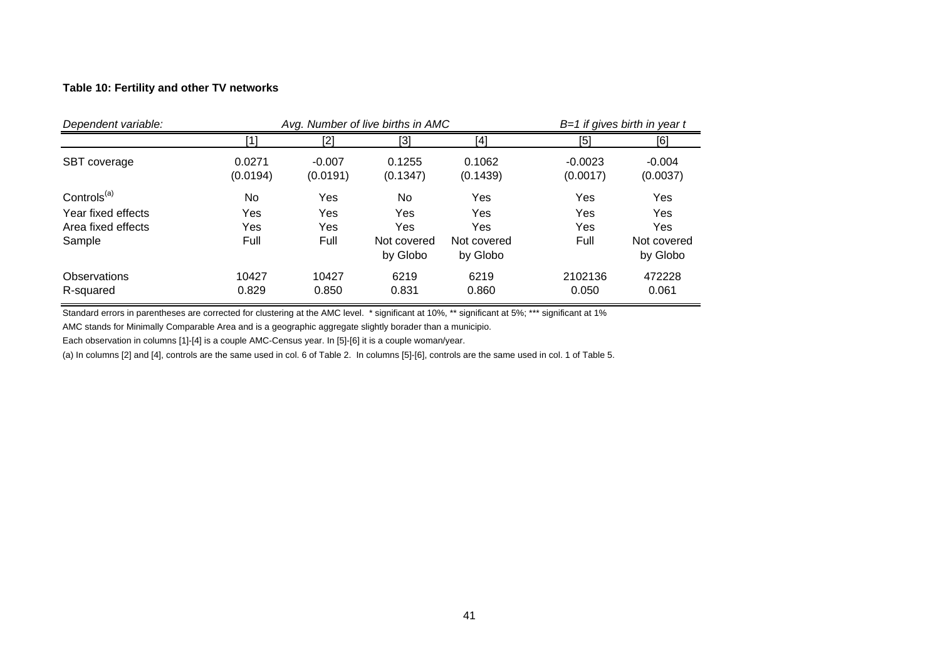### **Table 10: Fertility and other TV networks**

| Dependent variable:                                                           | Avg. Number of live births in AMC |                           |                                             |                                              |                           | $B=1$ if gives birth in year t               |  |  |
|-------------------------------------------------------------------------------|-----------------------------------|---------------------------|---------------------------------------------|----------------------------------------------|---------------------------|----------------------------------------------|--|--|
|                                                                               | [1                                | [2]                       | [3]                                         | [4]                                          | [5]                       | [6]                                          |  |  |
| SBT coverage                                                                  | 0.0271<br>(0.0194)                | $-0.007$<br>(0.0191)      | 0.1255<br>(0.1347)                          | 0.1062<br>(0.1439)                           | $-0.0023$<br>(0.0017)     | $-0.004$<br>(0.0037)                         |  |  |
| Controls <sup>(a)</sup><br>Year fixed effects<br>Area fixed effects<br>Sample | No.<br>Yes<br>Yes<br>Full         | Yes<br>Yes<br>Yes<br>Full | No<br>Yes<br>Yes<br>Not covered<br>by Globo | Yes<br>Yes<br>Yes<br>Not covered<br>by Globo | Yes<br>Yes<br>Yes<br>Full | Yes<br>Yes<br>Yes<br>Not covered<br>by Globo |  |  |
| <b>Observations</b><br>R-squared                                              | 10427<br>0.829                    | 10427<br>0.850            | 6219<br>0.831                               | 6219<br>0.860                                | 2102136<br>0.050          | 472228<br>0.061                              |  |  |

Standard errors in parentheses are corrected for clustering at the AMC level. \* significant at 10%, \*\* significant at 5%; \*\*\* significant at 1%

AMC stands for Minimally Comparable Area and is a geographic aggregate slightly borader than a municipio.

Each observation in columns [1]-[4] is a couple AMC-Census year. In [5]-[6] it is a couple woman/year.

(a) In columns [2] and [4], controls are the same used in col. 6 of Table 2. In columns [5]-[6], controls are the same used in col. 1 of Table 5.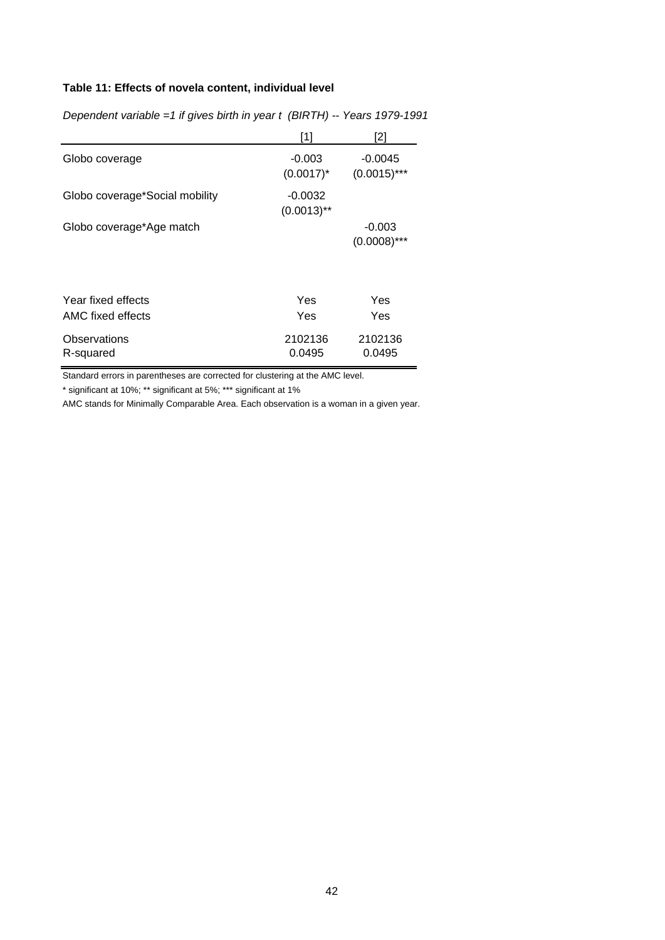## **Table 11: Effects of novela content, individual level**

|                                         | [1]                        | [2]                         |
|-----------------------------------------|----------------------------|-----------------------------|
| Globo coverage                          | $-0.003$<br>$(0.0017)^*$   | $-0.0045$<br>$(0.0015)$ *** |
| Globo coverage*Social mobility          | $-0.0032$<br>$(0.0013)$ ** |                             |
| Globo coverage*Age match                |                            | $-0.003$<br>$(0.0008)$ ***  |
| Year fixed effects<br>AMC fixed effects | Yes<br>Yes                 | Yes<br>Yes                  |
| Observations<br>R-squared               | 2102136<br>0.0495          | 2102136<br>0.0495           |

*Dependent variable =1 if gives birth in year t (BIRTH) -- Years 1979-1991*

Standard errors in parentheses are corrected for clustering at the AMC level.

\* significant at 10%; \*\* significant at 5%; \*\*\* significant at 1%

AMC stands for Minimally Comparable Area. Each observation is a woman in a given year.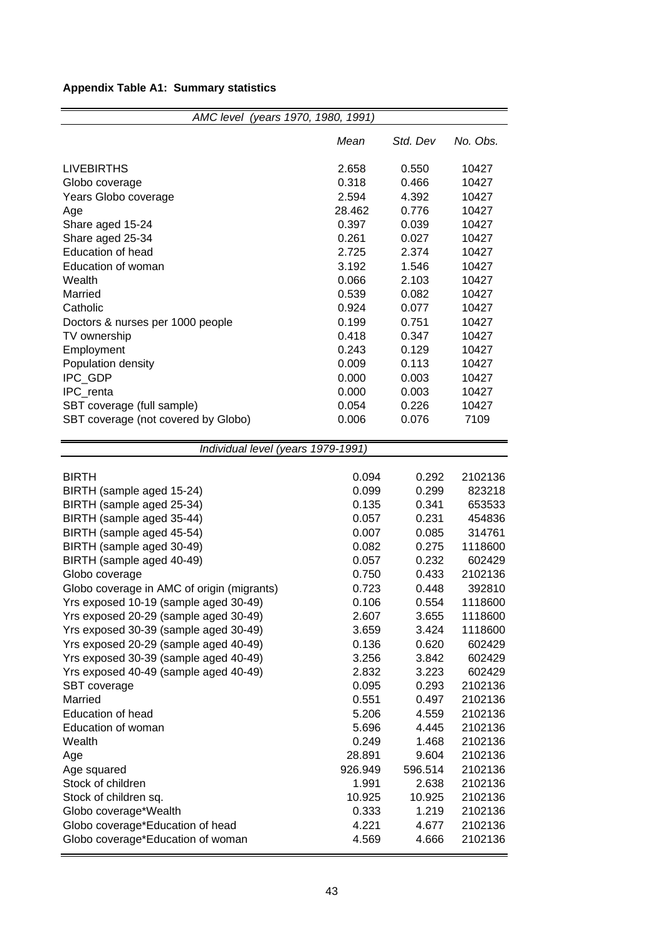## **Appendix Table A1: Summary statistics**

| AMC level (years 1970, 1980, 1991)         |         |          |          |
|--------------------------------------------|---------|----------|----------|
|                                            | Mean    | Std. Dev | No. Obs. |
| <b>LIVEBIRTHS</b>                          | 2.658   | 0.550    | 10427    |
| Globo coverage                             | 0.318   | 0.466    | 10427    |
| Years Globo coverage                       | 2.594   | 4.392    | 10427    |
| Age                                        | 28.462  | 0.776    | 10427    |
| Share aged 15-24                           | 0.397   | 0.039    | 10427    |
| Share aged 25-34                           | 0.261   | 0.027    | 10427    |
| <b>Education of head</b>                   | 2.725   | 2.374    | 10427    |
| Education of woman                         | 3.192   | 1.546    | 10427    |
| Wealth                                     | 0.066   | 2.103    | 10427    |
| Married                                    | 0.539   | 0.082    | 10427    |
| Catholic                                   | 0.924   | 0.077    | 10427    |
| Doctors & nurses per 1000 people           | 0.199   | 0.751    | 10427    |
| TV ownership                               | 0.418   | 0.347    | 10427    |
| Employment                                 | 0.243   | 0.129    | 10427    |
| Population density                         | 0.009   | 0.113    | 10427    |
| IPC_GDP                                    | 0.000   | 0.003    | 10427    |
| IPC_renta                                  | 0.000   | 0.003    | 10427    |
| SBT coverage (full sample)                 | 0.054   | 0.226    | 10427    |
| SBT coverage (not covered by Globo)        | 0.006   | 0.076    | 7109     |
|                                            |         |          |          |
| Individual level (years 1979-1991)         |         |          |          |
|                                            |         |          |          |
| <b>BIRTH</b>                               | 0.094   | 0.292    | 2102136  |
| BIRTH (sample aged 15-24)                  | 0.099   | 0.299    | 823218   |
| BIRTH (sample aged 25-34)                  | 0.135   | 0.341    | 653533   |
| BIRTH (sample aged 35-44)                  | 0.057   | 0.231    | 454836   |
| BIRTH (sample aged 45-54)                  | 0.007   | 0.085    | 314761   |
| BIRTH (sample aged 30-49)                  | 0.082   | 0.275    | 1118600  |
| BIRTH (sample aged 40-49)                  | 0.057   | 0.232    | 602429   |
| Globo coverage                             | 0.750   | 0.433    | 2102136  |
| Globo coverage in AMC of origin (migrants) | 0.723   | 0.448    | 392810   |
| Yrs exposed 10-19 (sample aged 30-49)      | 0.106   | 0.554    | 1118600  |
| Yrs exposed 20-29 (sample aged 30-49)      | 2.607   | 3.655    | 1118600  |
| Yrs exposed 30-39 (sample aged 30-49)      | 3.659   | 3.424    | 1118600  |
| Yrs exposed 20-29 (sample aged 40-49)      | 0.136   | 0.620    | 602429   |
| Yrs exposed 30-39 (sample aged 40-49)      | 3.256   | 3.842    | 602429   |
| Yrs exposed 40-49 (sample aged 40-49)      | 2.832   | 3.223    | 602429   |
| SBT coverage                               | 0.095   | 0.293    | 2102136  |
| Married                                    | 0.551   | 0.497    | 2102136  |
| <b>Education of head</b>                   | 5.206   | 4.559    | 2102136  |
| Education of woman                         | 5.696   | 4.445    | 2102136  |
| Wealth                                     | 0.249   | 1.468    | 2102136  |
| Age                                        | 28.891  | 9.604    | 2102136  |
| Age squared                                | 926.949 | 596.514  | 2102136  |
| Stock of children                          | 1.991   | 2.638    | 2102136  |
| Stock of children sq.                      | 10.925  | 10.925   | 2102136  |
| Globo coverage*Wealth                      | 0.333   | 1.219    | 2102136  |
| Globo coverage*Education of head           | 4.221   | 4.677    | 2102136  |
| Globo coverage*Education of woman          | 4.569   | 4.666    | 2102136  |

.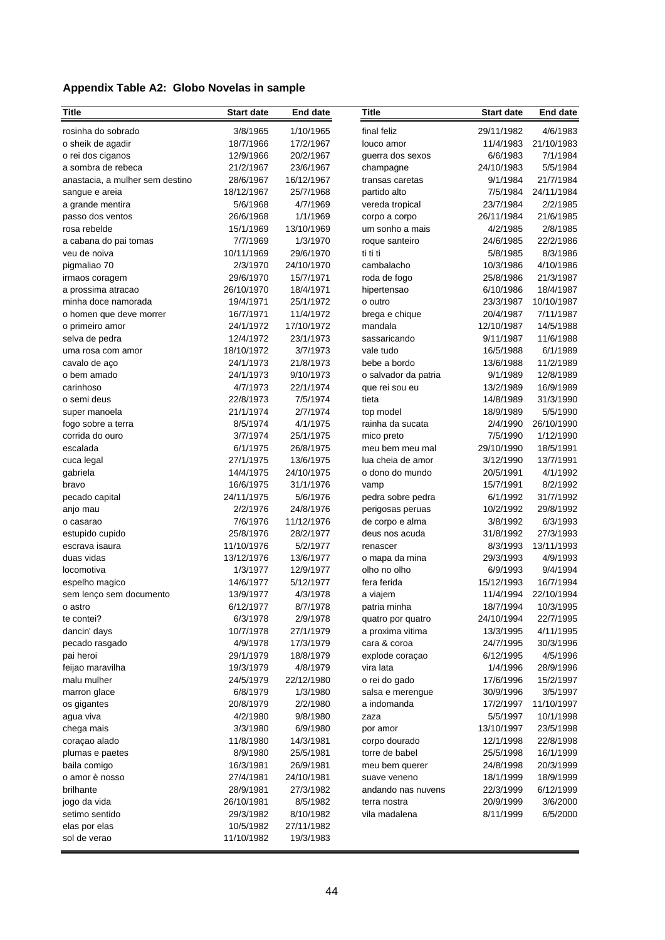## **Appendix Table A2: Globo Novelas in sample**

| <b>Title</b>                    | <b>Start date</b>      | <b>End date</b>         | <b>Title</b>                  | <b>Start date</b>     | <b>End date</b>        |
|---------------------------------|------------------------|-------------------------|-------------------------------|-----------------------|------------------------|
| rosinha do sobrado              | 3/8/1965               | 1/10/1965               | final feliz                   | 29/11/1982            | 4/6/1983               |
| o sheik de agadir               | 18/7/1966              | 17/2/1967               | louco amor                    | 11/4/1983             | 21/10/1983             |
| o rei dos ciganos               | 12/9/1966              | 20/2/1967               | guerra dos sexos              | 6/6/1983              | 7/1/1984               |
| a sombra de rebeca              | 21/2/1967              | 23/6/1967               | champagne                     | 24/10/1983            | 5/5/1984               |
| anastacia, a mulher sem destino | 28/6/1967              | 16/12/1967              | transas caretas               | 9/1/1984              | 21/7/1984              |
| sangue e areia                  | 18/12/1967             | 25/7/1968               | partido alto                  | 7/5/1984              | 24/11/1984             |
| a grande mentira                | 5/6/1968               | 4/7/1969                | vereda tropical               | 23/7/1984             | 2/2/1985               |
| passo dos ventos                | 26/6/1968              | 1/1/1969                | corpo a corpo                 | 26/11/1984            | 21/6/1985              |
| rosa rebelde                    | 15/1/1969              | 13/10/1969              | um sonho a mais               | 4/2/1985              | 2/8/1985               |
| a cabana do pai tomas           | 7/7/1969               | 1/3/1970                | roque santeiro                | 24/6/1985             | 22/2/1986              |
| veu de noiva                    | 10/11/1969             | 29/6/1970               | ti ti ti                      | 5/8/1985              | 8/3/1986               |
| pigmaliao 70                    | 2/3/1970               | 24/10/1970              | cambalacho                    | 10/3/1986             | 4/10/1986              |
| irmaos coragem                  | 29/6/1970              | 15/7/1971               | roda de fogo                  | 25/8/1986             | 21/3/1987              |
| a prossima atracao              | 26/10/1970             | 18/4/1971               | hipertensao                   | 6/10/1986             | 18/4/1987              |
| minha doce namorada             | 19/4/1971              | 25/1/1972               | o outro                       | 23/3/1987             | 10/10/1987             |
| o homen que deve morrer         | 16/7/1971              | 11/4/1972               | brega e chique                | 20/4/1987             | 7/11/1987              |
| o primeiro amor                 | 24/1/1972              | 17/10/1972              | mandala                       | 12/10/1987            | 14/5/1988              |
| selva de pedra                  | 12/4/1972              | 23/1/1973               | sassaricando                  | 9/11/1987             | 11/6/1988              |
| uma rosa com amor               | 18/10/1972             | 3/7/1973                | vale tudo                     | 16/5/1988             | 6/1/1989               |
| cavalo de aço                   | 24/1/1973              | 21/8/1973               | bebe a bordo                  | 13/6/1988             | 11/2/1989              |
| o bem amado                     | 24/1/1973              | 9/10/1973               | o salvador da patria          | 9/1/1989              | 12/8/1989              |
| carinhoso                       | 4/7/1973               | 22/1/1974               | que rei sou eu                | 13/2/1989             | 16/9/1989<br>31/3/1990 |
| o semi deus<br>super manoela    | 22/8/1973<br>21/1/1974 | 7/5/1974<br>2/7/1974    | tieta                         | 14/8/1989             | 5/5/1990               |
| fogo sobre a terra              | 8/5/1974               | 4/1/1975                | top model<br>rainha da sucata | 18/9/1989<br>2/4/1990 | 26/10/1990             |
| corrida do ouro                 | 3/7/1974               | 25/1/1975               | mico preto                    | 7/5/1990              | 1/12/1990              |
| escalada                        | 6/1/1975               | 26/8/1975               | meu bem meu mal               | 29/10/1990            | 18/5/1991              |
| cuca legal                      | 27/1/1975              | 13/6/1975               | lua cheia de amor             | 3/12/1990             | 13/7/1991              |
| gabriela                        | 14/4/1975              | 24/10/1975              | o dono do mundo               | 20/5/1991             | 4/1/1992               |
| bravo                           | 16/6/1975              | 31/1/1976               | vamp                          | 15/7/1991             | 8/2/1992               |
| pecado capital                  | 24/11/1975             | 5/6/1976                | pedra sobre pedra             | 6/1/1992              | 31/7/1992              |
| anjo mau                        | 2/2/1976               | 24/8/1976               | perigosas peruas              | 10/2/1992             | 29/8/1992              |
| o casarao                       | 7/6/1976               | 11/12/1976              | de corpo e alma               | 3/8/1992              | 6/3/1993               |
| estupido cupido                 | 25/8/1976              | 28/2/1977               | deus nos acuda                | 31/8/1992             | 27/3/1993              |
| escrava isaura                  | 11/10/1976             | 5/2/1977                | renascer                      | 8/3/1993              | 13/11/1993             |
| duas vidas                      | 13/12/1976             | 13/6/1977               | o mapa da mina                | 29/3/1993             | 4/9/1993               |
| locomotiva                      | 1/3/1977               | 12/9/1977               | olho no olho                  | 6/9/1993              | 9/4/1994               |
| espelho magico                  | 14/6/1977              | 5/12/1977               | fera ferida                   | 15/12/1993            | 16/7/1994              |
| sem lenço sem documento         | 13/9/1977              | 4/3/1978                | a viajem                      | 11/4/1994             | 22/10/1994             |
| o astro                         | 6/12/1977              | 8/7/1978                | patria minha                  | 18/7/1994             | 10/3/1995              |
| te contei?                      | 6/3/1978               | 2/9/1978                | quatro por quatro             | 24/10/1994            | 22/7/1995              |
| dancin' days                    | 10/7/1978              | 27/1/1979               | a proxima vitima              | 13/3/1995             | 4/11/1995              |
| pecado rasgado                  | 4/9/1978               | 17/3/1979               | cara & coroa                  | 24/7/1995             | 30/3/1996              |
| pai heroi                       | 29/1/1979              | 18/8/1979               | explode coraçao               | 6/12/1995             | 4/5/1996               |
| feijao maravilha                | 19/3/1979              | 4/8/1979                | vira lata                     | 1/4/1996              | 28/9/1996              |
| malu mulher                     | 24/5/1979              | 22/12/1980              | o rei do gado                 | 17/6/1996             | 15/2/1997              |
| marron glace                    | 6/8/1979               | 1/3/1980                | salsa e merengue              | 30/9/1996             | 3/5/1997               |
| os gigantes                     | 20/8/1979              | 2/2/1980                | a indomanda                   | 17/2/1997             | 11/10/1997             |
| agua viva                       | 4/2/1980               | 9/8/1980                | zaza                          | 5/5/1997              | 10/1/1998              |
| chega mais                      | 3/3/1980               | 6/9/1980                | por amor                      | 13/10/1997            | 23/5/1998              |
| coraçao alado                   | 11/8/1980              | 14/3/1981               | corpo dourado                 | 12/1/1998             | 22/8/1998              |
| plumas e paetes                 | 8/9/1980               | 25/5/1981               | torre de babel                | 25/5/1998             | 16/1/1999              |
| baila comigo                    | 16/3/1981              | 26/9/1981               | meu bem querer                | 24/8/1998             | 20/3/1999              |
| o amor è nosso                  | 27/4/1981              | 24/10/1981              | suave veneno                  | 18/1/1999             | 18/9/1999              |
| brilhante                       | 28/9/1981              | 27/3/1982               | andando nas nuvens            | 22/3/1999             | 6/12/1999              |
| jogo da vida                    | 26/10/1981             | 8/5/1982                | terra nostra                  | 20/9/1999             | 3/6/2000               |
| setimo sentido                  | 29/3/1982<br>10/5/1982 | 8/10/1982<br>27/11/1982 | vila madalena                 | 8/11/1999             | 6/5/2000               |
| elas por elas<br>sol de verao   | 11/10/1982             | 19/3/1983               |                               |                       |                        |
|                                 |                        |                         |                               |                       |                        |